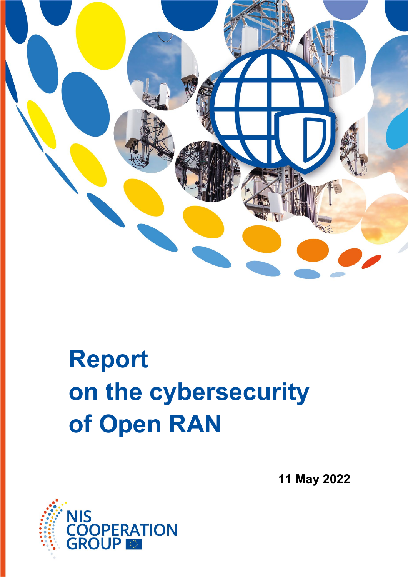

# **Report on the cybersecurity of Open RAN**

**11 May 2022**

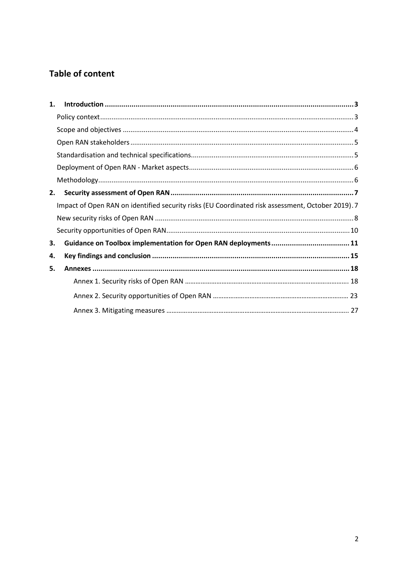# **Table of content**

| 1. |                                                                                                  |  |
|----|--------------------------------------------------------------------------------------------------|--|
|    |                                                                                                  |  |
|    |                                                                                                  |  |
|    |                                                                                                  |  |
|    |                                                                                                  |  |
|    |                                                                                                  |  |
|    |                                                                                                  |  |
| 2. |                                                                                                  |  |
|    | Impact of Open RAN on identified security risks (EU Coordinated risk assessment, October 2019).7 |  |
|    |                                                                                                  |  |
|    |                                                                                                  |  |
| 3. |                                                                                                  |  |
| 4. |                                                                                                  |  |
| 5. |                                                                                                  |  |
|    |                                                                                                  |  |
|    |                                                                                                  |  |
|    |                                                                                                  |  |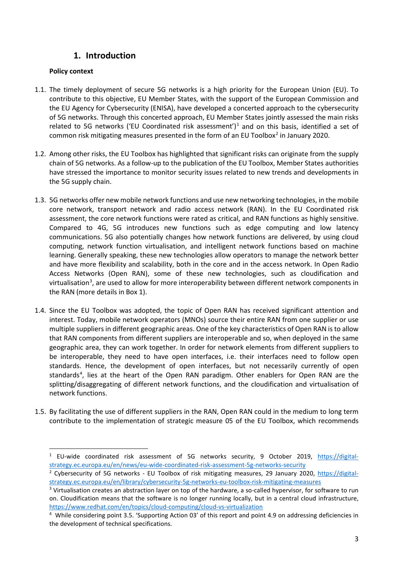## **1. Introduction**

#### <span id="page-2-1"></span><span id="page-2-0"></span>**Policy context**

- 1.1. The timely deployment of secure 5G networks is a high priority for the European Union (EU). To contribute to this objective, EU Member States, with the support of the European Commission and the EU Agency for Cybersecurity (ENISA), have developed a concerted approach to the cybersecurity of 5G networks. Through this concerted approach, EU Member States jointly assessed the main risks related to 5G networks ('EU Coordinated risk assessment')<sup>[1](#page-2-2)</sup> and on this basis, identified a set of common risk mitigating measures presented in the form of an EU Toolbox<sup>[2](#page-2-3)</sup> in January 2020.
- 1.2. Among other risks, the EU Toolbox has highlighted that significant risks can originate from the supply chain of 5G networks. As a follow-up to the publication of the EU Toolbox, Member States authorities have stressed the importance to monitor security issues related to new trends and developments in the 5G supply chain.
- 1.3. 5G networks offer new mobile network functions and use new networking technologies, in the mobile core network, transport network and radio access network (RAN). In the EU Coordinated risk assessment, the core network functions were rated as critical, and RAN functions as highly sensitive. Compared to 4G, 5G introduces new functions such as edge computing and low latency communications. 5G also potentially changes how network functions are delivered, by using cloud computing, network function virtualisation, and intelligent network functions based on machine learning. Generally speaking, these new technologies allow operators to manage the network better and have more flexibility and scalability, both in the core and in the access network. In Open Radio Access Networks (Open RAN), some of these new technologies, such as cloudification and virtualisation<sup>[3](#page-2-4)</sup>, are used to allow for more interoperability between different network components in the RAN (more details in Box 1).
- 1.4. Since the EU Toolbox was adopted, the topic of Open RAN has received significant attention and interest. Today, mobile network operators (MNOs) source their entire RAN from one supplier or use multiple suppliers in different geographic areas. One of the key characteristics of Open RAN is to allow that RAN components from different suppliers are interoperable and so, when deployed in the same geographic area, they can work together. In order for network elements from different suppliers to be interoperable, they need to have open interfaces, i.e. their interfaces need to follow open standards. Hence, the development of open interfaces, but not necessarily currently of open standards<sup>[4](#page-2-5)</sup>, lies at the heart of the Open RAN paradigm. Other enablers for Open RAN are the splitting/disaggregating of different network functions, and the cloudification and virtualisation of network functions.
- 1.5. By facilitating the use of different suppliers in the RAN, Open RAN could in the medium to long term contribute to the implementation of strategic measure 05 of the EU Toolbox, which recommends

<span id="page-2-2"></span><sup>&</sup>lt;sup>1</sup> EU-wide coordinated risk assessment of 5G networks security, 9 October 2019, [https://digital](https://digital-strategy.ec.europa.eu/en/news/eu-wide-coordinated-risk-assessment-5g-networks-security)[strategy.ec.europa.eu/en/news/eu-wide-coordinated-risk-assessment-5g-networks-security](https://digital-strategy.ec.europa.eu/en/news/eu-wide-coordinated-risk-assessment-5g-networks-security)

<span id="page-2-3"></span><sup>&</sup>lt;sup>2</sup> Cybersecurity of 5G networks - EU Toolbox of risk mitigating measures, 29 January 2020, [https://digital](https://digital-strategy.ec.europa.eu/en/library/cybersecurity-5g-networks-eu-toolbox-risk-mitigating-measures)[strategy.ec.europa.eu/en/library/cybersecurity-5g-networks-eu-toolbox-risk-mitigating-measures](https://digital-strategy.ec.europa.eu/en/library/cybersecurity-5g-networks-eu-toolbox-risk-mitigating-measures)

<span id="page-2-4"></span><sup>&</sup>lt;sup>3</sup> Virtualisation creates an abstraction layer on top of the hardware, a so-called hypervisor, for software to run on. Cloudification means that the software is no longer running locally, but in a central cloud infrastructure, https://www.redhat.com/en/topics/cloud-computing/cloud-vs-virtualization

<span id="page-2-5"></span><sup>4</sup> While considering point 3.5. 'Supporting Action 03' of this report and point 4.9 on addressing deficiencies in the development of technical specifications.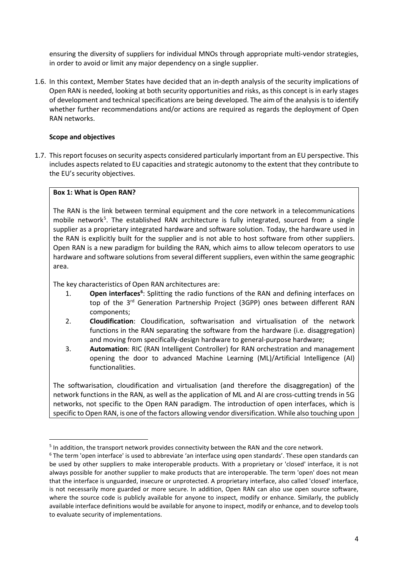ensuring the diversity of suppliers for individual MNOs through appropriate multi-vendor strategies, in order to avoid or limit any major dependency on a single supplier.

1.6. In this context, Member States have decided that an in-depth analysis of the security implications of Open RAN is needed, looking at both security opportunities and risks, as this concept is in early stages of development and technical specifications are being developed. The aim of the analysis is to identify whether further recommendations and/or actions are required as regards the deployment of Open RAN networks.

#### <span id="page-3-0"></span>**Scope and objectives**

1.7. This report focuses on security aspects considered particularly important from an EU perspective. This includes aspects related to EU capacities and strategic autonomy to the extent that they contribute to the EU's security objectives.

#### **Box 1: What is Open RAN?**

The RAN is the link between terminal equipment and the core network in a telecommunications mobile network<sup>5</sup>. The established RAN architecture is fully integrated, sourced from a single supplier as a proprietary integrated hardware and software solution. Today, the hardware used in the RAN is explicitly built for the supplier and is not able to host software from other suppliers. Open RAN is a new paradigm for building the RAN, which aims to allow telecom operators to use hardware and software solutions from several different suppliers, even within the same geographic area.

The key characteristics of Open RAN architectures are:

- 1. **Open interfaces[6](#page-3-2)** : Splitting the radio functions of the RAN and defining interfaces on top of the 3<sup>rd</sup> Generation Partnership Project (3GPP) ones between different RAN components;
- 2. **Cloudification**: Cloudification, softwarisation and virtualisation of the network functions in the RAN separating the software from the hardware (i.e. disaggregation) and moving from specifically-design hardware to general-purpose hardware;
- 3. **Automation**: RIC (RAN Intelligent Controller) for RAN orchestration and management opening the door to advanced Machine Learning (ML)/Artificial Intelligence (AI) functionalities.

The softwarisation, cloudification and virtualisation (and therefore the disaggregation) of the network functions in the RAN, as well as the application of ML and AI are cross-cutting trends in 5G networks, not specific to the Open RAN paradigm. The introduction of open interfaces, which is specific to Open RAN, is one of the factors allowing vendor diversification. While also touching upon

<span id="page-3-2"></span><span id="page-3-1"></span><sup>&</sup>lt;sup>5</sup> In addition, the transport network provides connectivity between the RAN and the core network.<br><sup>6</sup> The term 'open interface' is used to abbreviate 'an interface using open standards'. These open standards can be used by other suppliers to make interoperable products. With a proprietary or 'closed' interface, it is not always possible for another supplier to make products that are interoperable. The term 'open' does not mean that the interface is unguarded, insecure or unprotected. A proprietary interface, also called 'closed' interface, is not necessarily more guarded or more secure. In addition, Open RAN can also use open source software, where the source code is publicly available for anyone to inspect, modify or enhance. Similarly, the publicly available interface definitions would be available for anyone to inspect, modify or enhance, and to develop tools to evaluate security of implementations.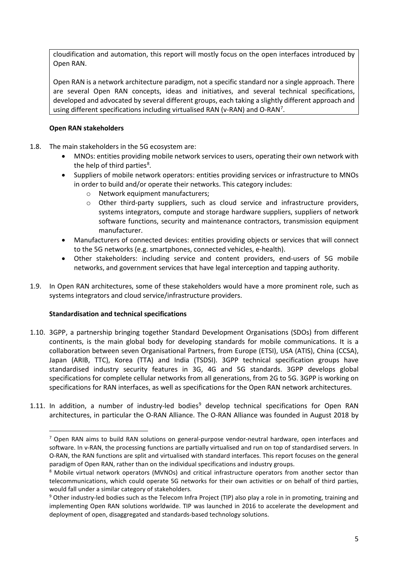cloudification and automation, this report will mostly focus on the open interfaces introduced by Open RAN.

Open RAN is a network architecture paradigm, not a specific standard nor a single approach. There are several Open RAN concepts, ideas and initiatives, and several technical specifications, developed and advocated by several different groups, each taking a slightly different approach and using different specifications including virtualised RAN (v-RAN) and O-RAN<sup>[7](#page-4-2)</sup>.

#### <span id="page-4-0"></span>**Open RAN stakeholders**

- 1.8. The main stakeholders in the 5G ecosystem are:
	- MNOs: entities providing mobile network services to users, operating their own network with the help of third parties<sup>[8](#page-4-3)</sup>.
	- Suppliers of mobile network operators: entities providing services or infrastructure to MNOs in order to build and/or operate their networks. This category includes:
		- o Network equipment manufacturers;
		- $\circ$  Other third-party suppliers, such as cloud service and infrastructure providers, systems integrators, compute and storage hardware suppliers, suppliers of network software functions, security and maintenance contractors, transmission equipment manufacturer.
	- Manufacturers of connected devices: entities providing objects or services that will connect to the 5G networks (e.g. smartphones, connected vehicles, e-health).
	- Other stakeholders: including service and content providers, end-users of 5G mobile networks, and government services that have legal interception and tapping authority.
- 1.9. In Open RAN architectures, some of these stakeholders would have a more prominent role, such as systems integrators and cloud service/infrastructure providers.

#### <span id="page-4-1"></span>**Standardisation and technical specifications**

- 1.10. 3GPP, a partnership bringing together Standard Development Organisations (SDOs) from different continents, is the main global body for developing standards for mobile communications. It is a collaboration between seven Organisational Partners, from Europe (ETSI), USA (ATIS), China (CCSA), Japan (ARIB, TTC), Korea (TTA) and India (TSDSI). 3GPP technical specification groups have standardised industry security features in 3G, 4G and 5G standards. 3GPP develops global specifications for complete cellular networks from all generations, from 2G to 5G. 3GPP is working on specifications for RAN interfaces, as well as specifications for the Open RAN network architectures.
- <span id="page-4-2"></span>1.11. In addition, a number of industry-led bodies<sup>[9](#page-4-4)</sup> develop technical specifications for Open RAN architectures, in particular the O-RAN Alliance. The O-RAN Alliance was founded in August 2018 by

<sup>&</sup>lt;sup>7</sup> Open RAN aims to build RAN solutions on general-purpose vendor-neutral hardware, open interfaces and software. In v-RAN, the processing functions are partially virtualised and run on top of standardised servers. In O-RAN, the RAN functions are split and virtualised with standard interfaces. This report focuses on the general paradigm of Open RAN, rather than on the individual specifications and industry groups.

<span id="page-4-3"></span><sup>&</sup>lt;sup>8</sup> Mobile virtual network operators (MVNOs) and critical infrastructure operators from another sector than telecommunications, which could operate 5G networks for their own activities or on behalf of third parties, would fall under a similar category of stakeholders.

<span id="page-4-4"></span><sup>9</sup> Other industry-led bodies such as the Telecom Infra Project (TIP) also play a role in in promoting, training and implementing Open RAN solutions worldwide. TIP was launched in 2016 to accelerate the development and deployment of open, disaggregated and standards-based technology solutions.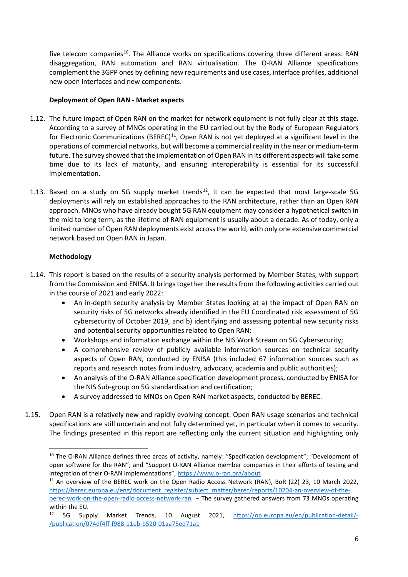five telecom companies<sup>[10](#page-5-2)</sup>. The Alliance works on specifications covering three different areas: RAN disaggregation, RAN automation and RAN virtualisation. The O-RAN Alliance specifications complement the 3GPP ones by defining new requirements and use cases, interface profiles, additional new open interfaces and new components.

#### <span id="page-5-0"></span>**Deployment of Open RAN - Market aspects**

- 1.12. The future impact of Open RAN on the market for network equipment is not fully clear at this stage. According to a survey of MNOs operating in the EU carried out by the Body of European Regulators for Electronic Communications (BEREC)<sup>11</sup>, Open RAN is not yet deployed at a significant level in the operations of commercial networks, but will become a commercial reality in the near or medium-term future. The survey showed that the implementation of Open RAN in its different aspects will take some time due to its lack of maturity, and ensuring interoperability is essential for its successful implementation.
- 1.13. Based on a study on 5G supply market trends<sup>[12](#page-5-4)</sup>, it can be expected that most large-scale 5G deployments will rely on established approaches to the RAN architecture, rather than an Open RAN approach. MNOs who have already bought 5G RAN equipment may consider a hypothetical switch in the mid to long term, as the lifetime of RAN equipment is usually about a decade. As of today, only a limited number of Open RAN deployments exist across the world, with only one extensive commercial network based on Open RAN in Japan.

#### <span id="page-5-1"></span>**Methodology**

- 1.14. This report is based on the results of a security analysis performed by Member States, with support from the Commission and ENISA. It brings together the results from the following activities carried out in the course of 2021 and early 2022:
	- An in-depth security analysis by Member States looking at a) the impact of Open RAN on security risks of 5G networks already identified in the EU Coordinated risk assessment of 5G cybersecurity of October 2019, and b) identifying and assessing potential new security risks and potential security opportunities related to Open RAN;
	- Workshops and information exchange within the NIS Work Stream on 5G Cybersecurity;
	- A comprehensive review of publicly available information sources on technical security aspects of Open RAN, conducted by ENISA (this included 67 information sources such as reports and research notes from industry, advocacy, academia and public authorities);
	- An analysis of the O-RAN Alliance specification development process, conducted by ENISA for the NIS Sub-group on 5G standardisation and certification;
	- A survey addressed to MNOs on Open RAN market aspects, conducted by BEREC.
- 1.15. Open RAN is a relatively new and rapidly evolving concept. Open RAN usage scenarios and technical specifications are still uncertain and not fully determined yet, in particular when it comes to security. The findings presented in this report are reflecting only the current situation and highlighting only

<span id="page-5-2"></span><sup>&</sup>lt;sup>10</sup> The O-RAN Alliance defines three areas of activity, namely: "Specification development"; "Development of open software for the RAN"; and "Support O-RAN Alliance member companies in their efforts of testing and integration of their O-RAN implementations",<https://www.o-ran.org/about>

<span id="page-5-3"></span><sup>&</sup>lt;sup>11</sup> An overview of the BEREC work on the Open Radio Access Network (RAN), BoR (22) 23, 10 March 2022, [https://berec.europa.eu/eng/document\\_register/subject\\_matter/berec/reports/10204-an-overview-of-the-](https://berec.europa.eu/eng/document_register/subject_matter/berec/reports/10204-an-overview-of-the-berec-work-on-the-open-radio-access-network-ran)

[berec-work-on-the-open-radio-access-network-ran](https://berec.europa.eu/eng/document_register/subject_matter/berec/reports/10204-an-overview-of-the-berec-work-on-the-open-radio-access-network-ran) – The survey gathered answers from 73 MNOs operating within the EU.

<span id="page-5-4"></span><sup>12</sup> 5G Supply Market Trends, 10 August 2021, [https://op.europa.eu/en/publication-detail/-](https://op.europa.eu/en/publication-detail/-/publication/074df4ff-f988-11eb-b520-01aa75ed71a1) [/publication/074df4ff-f988-11eb-b520-01aa75ed71a1](https://op.europa.eu/en/publication-detail/-/publication/074df4ff-f988-11eb-b520-01aa75ed71a1)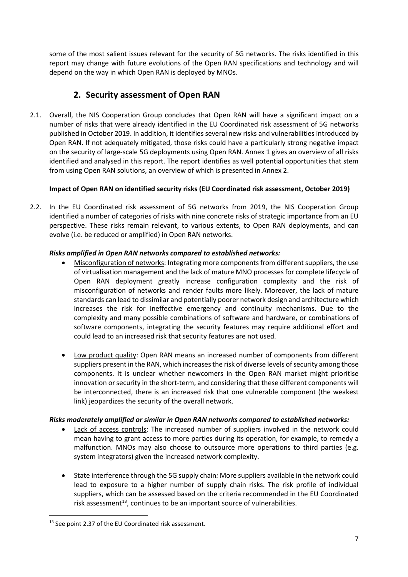some of the most salient issues relevant for the security of 5G networks. The risks identified in this report may change with future evolutions of the Open RAN specifications and technology and will depend on the way in which Open RAN is deployed by MNOs.

## <span id="page-6-0"></span>**2. Security assessment of Open RAN**

2.1. Overall, the NIS Cooperation Group concludes that Open RAN will have a significant impact on a number of risks that were already identified in the EU Coordinated risk assessment of 5G networks published in October 2019. In addition, it identifies several new risks and vulnerabilities introduced by Open RAN. If not adequately mitigated, those risks could have a particularly strong negative impact on the security of large-scale 5G deployments using Open RAN. Annex 1 gives an overview of all risks identified and analysed in this report. The report identifies as well potential opportunities that stem from using Open RAN solutions, an overview of which is presented in Annex 2.

#### <span id="page-6-1"></span>**Impact of Open RAN on identified security risks (EU Coordinated risk assessment, October 2019)**

2.2. In the EU Coordinated risk assessment of 5G networks from 2019, the NIS Cooperation Group identified a number of categories of risks with nine concrete risks of strategic importance from an EU perspective. These risks remain relevant, to various extents, to Open RAN deployments, and can evolve (i.e. be reduced or amplified) in Open RAN networks.

#### *Risks amplified in Open RAN networks compared to established networks:*

- Misconfiguration of networks: Integrating more components from different suppliers, the use of virtualisation management and the lack of mature MNO processes for complete lifecycle of Open RAN deployment greatly increase configuration complexity and the risk of misconfiguration of networks and render faults more likely. Moreover, the lack of mature standards can lead to dissimilar and potentially poorer network design and architecture which increases the risk for ineffective emergency and continuity mechanisms. Due to the complexity and many possible combinations of software and hardware, or combinations of software components, integrating the security features may require additional effort and could lead to an increased risk that security features are not used.
- Low product quality: Open RAN means an increased number of components from different suppliers present in the RAN, which increases the risk of diverse levels of security among those components. It is unclear whether newcomers in the Open RAN market might prioritise innovation or security in the short-term, and considering that these different components will be interconnected, there is an increased risk that one vulnerable component (the weakest link) jeopardizes the security of the overall network.

#### *Risks moderately amplified or similar in Open RAN networks compared to established networks:*

- Lack of access controls: The increased number of suppliers involved in the network could mean having to grant access to more parties during its operation, for example, to remedy a malfunction. MNOs may also choose to outsource more operations to third parties (e.g. system integrators) given the increased network complexity.
- State interference through the 5G supply chain*:* More suppliers available in the network could lead to exposure to a higher number of supply chain risks. The risk profile of individual suppliers, which can be assessed based on the criteria recommended in the EU Coordinated risk assessment $^{13}$  $^{13}$  $^{13}$ , continues to be an important source of vulnerabilities.

<span id="page-6-2"></span><sup>&</sup>lt;sup>13</sup> See point 2.37 of the EU Coordinated risk assessment.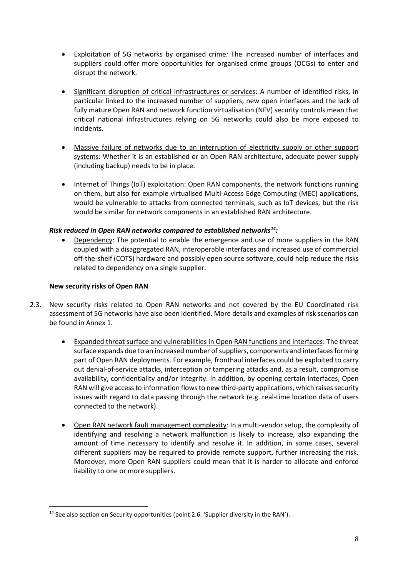- Exploitation of 5G networks by organised crime*:* The increased number of interfaces and suppliers could offer more opportunities for organised crime groups (OCGs) to enter and disrupt the network.
- Significant disruption of critical infrastructures or services: A number of identified risks, in particular linked to the increased number of suppliers, new open interfaces and the lack of fully mature Open RAN and network function virtualisation (NFV) security controls mean that critical national infrastructures relying on 5G networks could also be more exposed to incidents.
- Massive failure of networks due to an interruption of electricity supply or other support systems: Whether it is an established or an Open RAN architecture, adequate power supply (including backup) needs to be in place.
- Internet of Things (IoT) exploitation: Open RAN components, the network functions running on them, but also for example virtualised Multi-Access Edge Computing (MEC) applications, would be vulnerable to attacks from connected terminals, such as IoT devices, but the risk would be similar for network components in an established RAN architecture.

#### *Risk reduced in Open RAN networks compared to established networks[14](#page-7-1):*

• Dependency: The potential to enable the emergence and use of more suppliers in the RAN coupled with a disaggregated RAN, interoperable interfaces and increased use of commercial off-the-shelf (COTS) hardware and possibly open source software, could help reduce the risks related to dependency on a single supplier.

#### <span id="page-7-0"></span>**New security risks of Open RAN**

- 2.3. New security risks related to Open RAN networks and not covered by the EU Coordinated risk assessment of 5G networks have also been identified. More details and examples of risk scenarios can be found in Annex 1.
	- Expanded threat surface and vulnerabilities in Open RAN functions and interfaces: The threat surface expands due to an increased number of suppliers, components and interfaces forming part of Open RAN deployments. For example, fronthaul interfaces could be exploited to carry out denial-of-service attacks, interception or tampering attacks and, as a result, compromise availability, confidentiality and/or integrity. In addition, by opening certain interfaces, Open RAN will give access to information flows to new third-party applications, which raises security issues with regard to data passing through the network (e.g. real-time location data of users connected to the network).
	- Open RAN network fault management complexity: In a multi-vendor setup, the complexity of identifying and resolving a network malfunction is likely to increase, also expanding the amount of time necessary to identify and resolve it. In addition, in some cases, several different suppliers may be required to provide remote support, further increasing the risk. Moreover, more Open RAN suppliers could mean that it is harder to allocate and enforce liability to one or more suppliers.

<span id="page-7-1"></span><sup>&</sup>lt;sup>14</sup> See also section on Security opportunities (point 2.6. 'Supplier diversity in the RAN').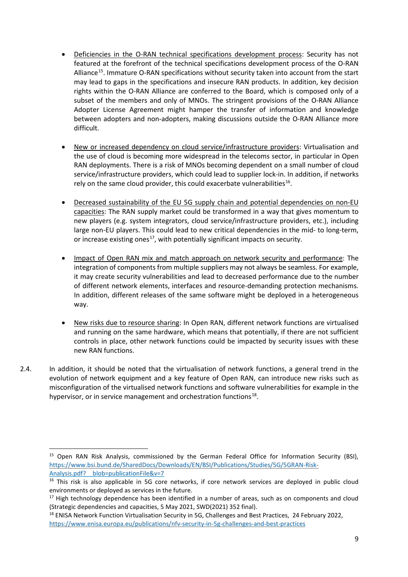- Deficiencies in the O-RAN technical specifications development process: Security has not featured at the forefront of the technical specifications development process of the O-RAN Alliance<sup>15</sup>. Immature O-RAN specifications without security taken into account from the start may lead to gaps in the specifications and insecure RAN products. In addition, key decision rights within the O-RAN Alliance are conferred to the Board, which is composed only of a subset of the members and only of MNOs. The stringent provisions of the O-RAN Alliance Adopter License Agreement might hamper the transfer of information and knowledge between adopters and non-adopters, making discussions outside the O-RAN Alliance more difficult.
- New or increased dependency on cloud service/infrastructure providers: Virtualisation and the use of cloud is becoming more widespread in the telecoms sector, in particular in Open RAN deployments. There is a risk of MNOs becoming dependent on a small number of cloud service/infrastructure providers, which could lead to supplier lock-in. In addition, if networks rely on the same cloud provider, this could exacerbate vulnerabilities<sup>16</sup>.
- Decreased sustainability of the EU 5G supply chain and potential dependencies on non-EU capacities: The RAN supply market could be transformed in a way that gives momentum to new players (e.g. system integrators, cloud service/infrastructure providers, etc.), including large non-EU players. This could lead to new critical dependencies in the mid- to long-term, or increase existing ones<sup>[17](#page-8-2)</sup>, with potentially significant impacts on security.
- Impact of Open RAN mix and match approach on network security and performance: The integration of components from multiple suppliers may not always be seamless. For example, it may create security vulnerabilities and lead to decreased performance due to the number of different network elements, interfaces and resource-demanding protection mechanisms. In addition, different releases of the same software might be deployed in a heterogeneous way.
- New risks due to resource sharing: In Open RAN, different network functions are virtualised and running on the same hardware, which means that potentially, if there are not sufficient controls in place, other network functions could be impacted by security issues with these new RAN functions.
- 2.4. In addition, it should be noted that the virtualisation of network functions, a general trend in the evolution of network equipment and a key feature of Open RAN, can introduce new risks such as misconfiguration of the virtualised network functions and software vulnerabilities for example in the hypervisor, or in service management and orchestration functions<sup>18</sup>.

<span id="page-8-0"></span><sup>&</sup>lt;sup>15</sup> Open RAN Risk Analysis, commissioned by the German Federal Office for Information Security (BSI), [https://www.bsi.bund.de/SharedDocs/Downloads/EN/BSI/Publications/Studies/5G/5GRAN-Risk-](https://www.bsi.bund.de/SharedDocs/Downloads/EN/BSI/Publications/Studies/5G/5GRAN-Risk-Analysis.pdf?__blob=publicationFile&v=7)Analysis.pdf? blob=publicationFile&v=7

<span id="page-8-1"></span><sup>&</sup>lt;sup>16</sup> This risk is also applicable in 5G core networks, if core network services are deployed in public cloud environments or deployed as services in the future.

<span id="page-8-2"></span><sup>&</sup>lt;sup>17</sup> High technology dependence has been identified in a number of areas, such as on components and cloud (Strategic dependencies and capacities, 5 May 2021, SWD(2021) 352 final).

<span id="page-8-3"></span><sup>&</sup>lt;sup>18</sup> ENISA Network Function Virtualisation Security in 5G, Challenges and Best Practices, 24 February 2022, <https://www.enisa.europa.eu/publications/nfv-security-in-5g-challenges-and-best-practices>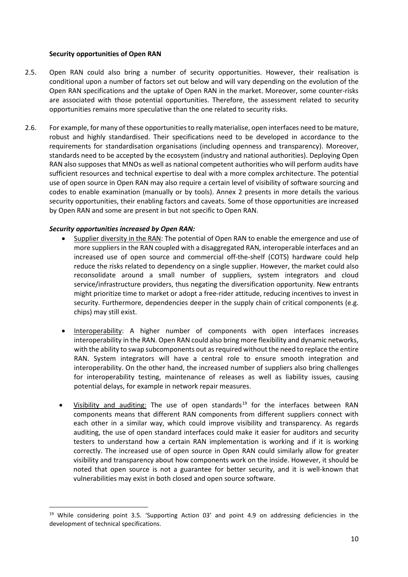#### <span id="page-9-0"></span>**Security opportunities of Open RAN**

- 2.5. Open RAN could also bring a number of security opportunities. However, their realisation is conditional upon a number of factors set out below and will vary depending on the evolution of the Open RAN specifications and the uptake of Open RAN in the market. Moreover, some counter-risks are associated with those potential opportunities. Therefore, the assessment related to security opportunities remains more speculative than the one related to security risks.
- 2.6. For example, for many of these opportunities to really materialise, open interfaces need to be mature, robust and highly standardised. Their specifications need to be developed in accordance to the requirements for standardisation organisations (including openness and transparency). Moreover, standards need to be accepted by the ecosystem (industry and national authorities). Deploying Open RAN also supposes that MNOs as well as national competent authorities who will perform audits have sufficient resources and technical expertise to deal with a more complex architecture. The potential use of open source in Open RAN may also require a certain level of visibility of software sourcing and codes to enable examination (manually or by tools). Annex 2 presents in more details the various security opportunities, their enabling factors and caveats. Some of those opportunities are increased by Open RAN and some are present in but not specific to Open RAN.

#### *Security opportunities increased by Open RAN:*

- Supplier diversity in the RAN: The potential of Open RAN to enable the emergence and use of more suppliers in the RAN coupled with a disaggregated RAN, interoperable interfaces and an increased use of open source and commercial off-the-shelf (COTS) hardware could help reduce the risks related to dependency on a single supplier. However, the market could also reconsolidate around a small number of suppliers, system integrators and cloud service/infrastructure providers, thus negating the diversification opportunity. New entrants might prioritize time to market or adopt a free-rider attitude, reducing incentives to invest in security. Furthermore, dependencies deeper in the supply chain of critical components (e.g. chips) may still exist.
- Interoperability: A higher number of components with open interfaces increases interoperability in the RAN. Open RAN could also bring more flexibility and dynamic networks, with the ability to swap subcomponents out as required without the need to replace the entire RAN. System integrators will have a central role to ensure smooth integration and interoperability. On the other hand, the increased number of suppliers also bring challenges for interoperability testing, maintenance of releases as well as liability issues, causing potential delays, for example in network repair measures.
- Visibility and auditing: The use of open standards $19$  for the interfaces between RAN components means that different RAN components from different suppliers connect with each other in a similar way, which could improve visibility and transparency. As regards auditing, the use of open standard interfaces could make it easier for auditors and security testers to understand how a certain RAN implementation is working and if it is working correctly. The increased use of open source in Open RAN could similarly allow for greater visibility and transparency about how components work on the inside. However, it should be noted that open source is not a guarantee for better security, and it is well-known that vulnerabilities may exist in both closed and open source software.

<span id="page-9-1"></span><sup>&</sup>lt;sup>19</sup> While considering point 3.5. 'Supporting Action 03' and point 4.9 on addressing deficiencies in the development of technical specifications.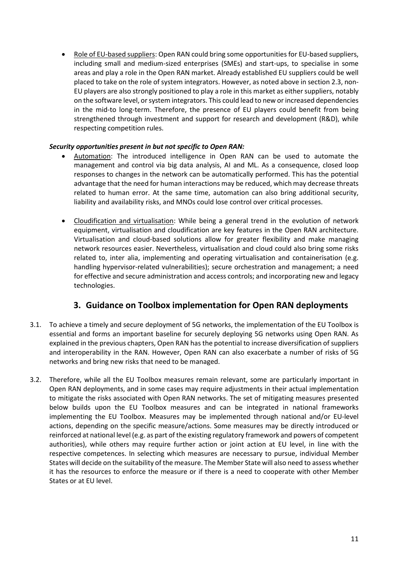• Role of EU-based suppliers: Open RAN could bring some opportunities for EU-based suppliers, including small and medium-sized enterprises (SMEs) and start-ups, to specialise in some areas and play a role in the Open RAN market. Already established EU suppliers could be well placed to take on the role of system integrators. However, as noted above in section 2.3, non-EU players are also strongly positioned to play a role in this market as either suppliers, notably on the software level, or system integrators. This could lead to new or increased dependencies in the mid-to long-term. Therefore, the presence of EU players could benefit from being strengthened through investment and support for research and development (R&D), while respecting competition rules.

#### *Security opportunities present in but not specific to Open RAN:*

- Automation: The introduced intelligence in Open RAN can be used to automate the management and control via big data analysis, AI and ML. As a consequence, closed loop responses to changes in the network can be automatically performed. This has the potential advantage that the need for human interactions may be reduced, which may decrease threats related to human error. At the same time, automation can also bring additional security, liability and availability risks, and MNOs could lose control over critical processes.
- Cloudification and virtualisation: While being a general trend in the evolution of network equipment, virtualisation and cloudification are key features in the Open RAN architecture. Virtualisation and cloud-based solutions allow for greater flexibility and make managing network resources easier. Nevertheless, virtualisation and cloud could also bring some risks related to, inter alia, implementing and operating virtualisation and containerisation (e.g. handling hypervisor-related vulnerabilities); secure orchestration and management; a need for effective and secure administration and access controls; and incorporating new and legacy technologies.

## <span id="page-10-0"></span>**3. Guidance on Toolbox implementation for Open RAN deployments**

- 3.1. To achieve a timely and secure deployment of 5G networks, the implementation of the EU Toolbox is essential and forms an important baseline for securely deploying 5G networks using Open RAN. As explained in the previous chapters, Open RAN has the potential to increase diversification of suppliers and interoperability in the RAN. However, Open RAN can also exacerbate a number of risks of 5G networks and bring new risks that need to be managed.
- 3.2. Therefore, while all the EU Toolbox measures remain relevant, some are particularly important in Open RAN deployments, and in some cases may require adjustments in their actual implementation to mitigate the risks associated with Open RAN networks. The set of mitigating measures presented below builds upon the EU Toolbox measures and can be integrated in national frameworks implementing the EU Toolbox. Measures may be implemented through national and/or EU-level actions, depending on the specific measure/actions. Some measures may be directly introduced or reinforced at national level (e.g. as part of the existing regulatory framework and powers of competent authorities), while others may require further action or joint action at EU level, in line with the respective competences. In selecting which measures are necessary to pursue, individual Member States will decide on the suitability of the measure. The Member State will also need to assess whether it has the resources to enforce the measure or if there is a need to cooperate with other Member States or at EU level.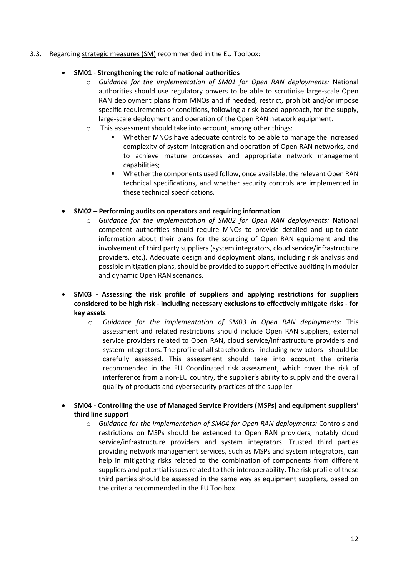3.3. Regarding strategic measures (SM) recommended in the EU Toolbox:

#### • **SM01 - Strengthening the role of national authorities**

- o *Guidance for the implementation of SM01 for Open RAN deployments:* National authorities should use regulatory powers to be able to scrutinise large-scale Open RAN deployment plans from MNOs and if needed, restrict, prohibit and/or impose specific requirements or conditions, following a risk-based approach, for the supply, large-scale deployment and operation of the Open RAN network equipment.
- o This assessment should take into account, among other things:
	- Whether MNOs have adequate controls to be able to manage the increased complexity of system integration and operation of Open RAN networks, and to achieve mature processes and appropriate network management capabilities;
	- Whether the components used follow, once available, the relevant Open RAN technical specifications, and whether security controls are implemented in these technical specifications.

#### • **SM02 – Performing audits on operators and requiring information**

- o *Guidance for the implementation of SM02 for Open RAN deployments:* National competent authorities should require MNOs to provide detailed and up-to-date information about their plans for the sourcing of Open RAN equipment and the involvement of third party suppliers (system integrators, cloud service/infrastructure providers, etc.). Adequate design and deployment plans, including risk analysis and possible mitigation plans, should be provided to support effective auditing in modular and dynamic Open RAN scenarios.
- **SM03 - Assessing the risk profile of suppliers and applying restrictions for suppliers considered to be high risk - including necessary exclusions to effectively mitigate risks - for key assets**
	- o *Guidance for the implementation of SM03 in Open RAN deployments:* This assessment and related restrictions should include Open RAN suppliers, external service providers related to Open RAN, cloud service/infrastructure providers and system integrators. The profile of all stakeholders - including new actors - should be carefully assessed. This assessment should take into account the criteria recommended in the EU Coordinated risk assessment, which cover the risk of interference from a non-EU country, the supplier's ability to supply and the overall quality of products and cybersecurity practices of the supplier.
- **SM04 Controlling the use of Managed Service Providers (MSPs) and equipment suppliers' third line support**
	- o *Guidance for the implementation of SM04 for Open RAN deployments:* Controls and restrictions on MSPs should be extended to Open RAN providers, notably cloud service/infrastructure providers and system integrators. Trusted third parties providing network management services, such as MSPs and system integrators, can help in mitigating risks related to the combination of components from different suppliers and potential issues related to their interoperability. The risk profile of these third parties should be assessed in the same way as equipment suppliers, based on the criteria recommended in the EU Toolbox.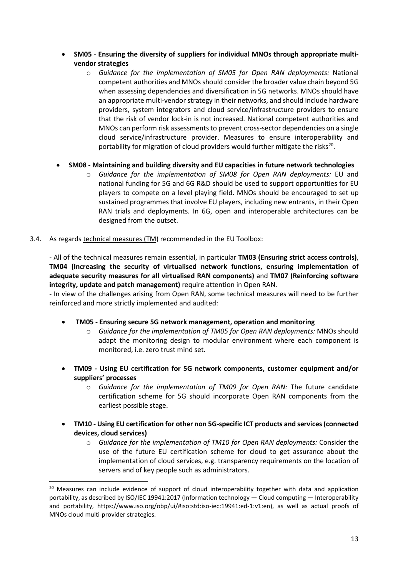- **SM05 Ensuring the diversity of suppliers for individual MNOs through appropriate multivendor strategies**
	- o *Guidance for the implementation of SM05 for Open RAN deployments:* National competent authorities and MNOs should consider the broader value chain beyond 5G when assessing dependencies and diversification in 5G networks. MNOs should have an appropriate multi-vendor strategy in their networks, and should include hardware providers, system integrators and cloud service/infrastructure providers to ensure that the risk of vendor lock-in is not increased. National competent authorities and MNOs can perform risk assessments to prevent cross-sector dependencies on a single cloud service/infrastructure provider. Measures to ensure interoperability and portability for migration of cloud providers would further mitigate the risks<sup>20</sup>.

#### • **SM08 - Maintaining and building diversity and EU capacities in future network technologies**

- o *Guidance for the implementation of SM08 for Open RAN deployments:* EU and national funding for 5G and 6G R&D should be used to support opportunities for EU players to compete on a level playing field. MNOs should be encouraged to set up sustained programmes that involve EU players, including new entrants, in their Open RAN trials and deployments. In 6G, open and interoperable architectures can be designed from the outset.
- 3.4. As regards technical measures (TM) recommended in the EU Toolbox:

- All of the technical measures remain essential, in particular **TM03 (Ensuring strict access controls)**, **TM04 (Increasing the security of virtualised network functions, ensuring implementation of adequate security measures for all virtualised RAN components)** and **TM07 (Reinforcing software integrity, update and patch management)** require attention in Open RAN.

- In view of the challenges arising from Open RAN, some technical measures will need to be further reinforced and more strictly implemented and audited:

- **TM05 - Ensuring secure 5G network management, operation and monitoring**
	- o *Guidance for the implementation of TM05 for Open RAN deployments:* MNOs should adapt the monitoring design to modular environment where each component is monitored, i.e. zero trust mind set.
- **TM09 - Using EU certification for 5G network components, customer equipment and/or suppliers' processes**
	- o *Guidance for the implementation of TM09 for Open RAN:* The future candidate certification scheme for 5G should incorporate Open RAN components from the earliest possible stage.
- **TM10 - Using EU certification for other non 5G-specific ICT products and services (connected devices, cloud services)**
	- o *Guidance for the implementation of TM10 for Open RAN deployments:* Consider the use of the future EU certification scheme for cloud to get assurance about the implementation of cloud services, e.g. transparency requirements on the location of servers and of key people such as administrators.

<span id="page-12-0"></span><sup>&</sup>lt;sup>20</sup> Measures can include evidence of support of cloud interoperability together with data and application portability, as described by ISO/IEC 19941:2017 (Information technology — Cloud computing — Interoperability and portability, https://www.iso.org/obp/ui/#iso:std:iso-iec:19941:ed-1:v1:en), as well as actual proofs of MNOs cloud multi-provider strategies.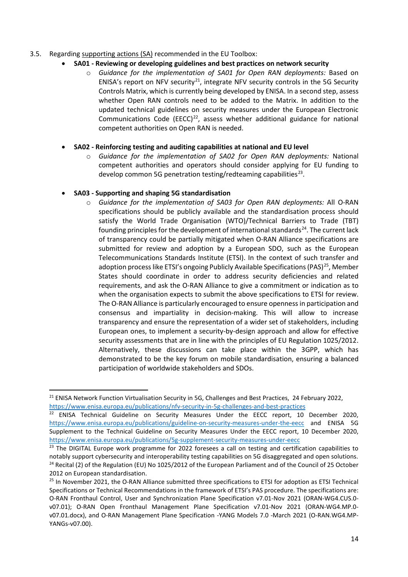#### 3.5. Regarding supporting actions (SA) recommended in the EU Toolbox:

#### • **SA01 - Reviewing or developing guidelines and best practices on network security**

o *Guidance for the implementation of SA01 for Open RAN deployments:* Based on ENISA's report on NFV security<sup>21</sup>, integrate NFV security controls in the 5G Security Controls Matrix, which is currently being developed by ENISA. In a second step, assess whether Open RAN controls need to be added to the Matrix. In addition to the updated technical guidelines on security measures under the European Electronic Communications Code (EECC)<sup>[22](#page-13-1)</sup>, assess whether additional guidance for national competent authorities on Open RAN is needed.

#### • **SA02 - Reinforcing testing and auditing capabilities at national and EU level**

o *Guidance for the implementation of SA02 for Open RAN deployments:* National competent authorities and operators should consider applying for EU funding to develop common 5G penetration testing/redteaming capabilities $^{23}$ .

#### • **SA03 - Supporting and shaping 5G standardisation**

o *Guidance for the implementation of SA03 for Open RAN deployments:* All O-RAN specifications should be publicly available and the standardisation process should satisfy the World Trade Organisation (WTO)/Technical Barriers to Trade (TBT) founding principles for the development of international standards $^{24}$  $^{24}$  $^{24}$ . The current lack of transparency could be partially mitigated when O-RAN Alliance specifications are submitted for review and adoption by a European SDO, such as the European Telecommunications Standards Institute (ETSI). In the context of such transfer and adoption process like ETSI's ongoing Publicly Available Specifications (PAS)<sup>25</sup>, Member States should coordinate in order to address security deficiencies and related requirements, and ask the O-RAN Alliance to give a commitment or indication as to when the organisation expects to submit the above specifications to ETSI for review. The O-RAN Alliance is particularly encouraged to ensure openness in participation and consensus and impartiality in decision-making. This will allow to increase transparency and ensure the representation of a wider set of stakeholders, including European ones, to implement a security-by-design approach and allow for effective security assessments that are in line with the principles of EU Regulation 1025/2012. Alternatively, these discussions can take place within the 3GPP, which has demonstrated to be the key forum on mobile standardisation, ensuring a balanced participation of worldwide stakeholders and SDOs.

<span id="page-13-0"></span><sup>&</sup>lt;sup>21</sup> ENISA Network Function Virtualisation Security in 5G, Challenges and Best Practices, 24 February 2022, <https://www.enisa.europa.eu/publications/nfv-security-in-5g-challenges-and-best-practices>

<span id="page-13-1"></span><sup>&</sup>lt;sup>22</sup> ENISA Technical Guideline on Security Measures Under the EECC report, 10 December 2020, <https://www.enisa.europa.eu/publications/guideline-on-security-measures-under-the-eecc> and ENISA 5G Supplement to the Technical Guideline on Security Measures Under the EECC report, 10 December 2020, <https://www.enisa.europa.eu/publications/5g-supplement-security-measures-under-eecc>

<span id="page-13-2"></span><sup>&</sup>lt;sup>23</sup> The DIGITAL Europe work programme for 2022 foresees a call on testing and certification capabilities to notably support cybersecurity and interoperability testing capabilities on 5G disaggregated and open solutions. <sup>24</sup> Recital (2) of the Regulation (EU) No 1025/2012 of the European Parliament and of the Council of 25 October 2012 on European standardisation.

<span id="page-13-4"></span><span id="page-13-3"></span><sup>&</sup>lt;sup>25</sup> In November 2021, the O-RAN Alliance submitted three specifications to ETSI for adoption as ETSI Technical Specifications or Technical Recommendations in the framework of ETSI's PAS procedure. The specifications are: O-RAN Fronthaul Control, User and Synchronization Plane Specification v7.01-Nov 2021 (ORAN-WG4.CUS.0 v07.01); O-RAN Open Fronthaul Management Plane Specification v7.01-Nov 2021 (ORAN-WG4.MP.0 v07.01.docx), and O-RAN Management Plane Specification -YANG Models 7.0 -March 2021 (O-RAN.WG4.MP-YANGs-v07.00).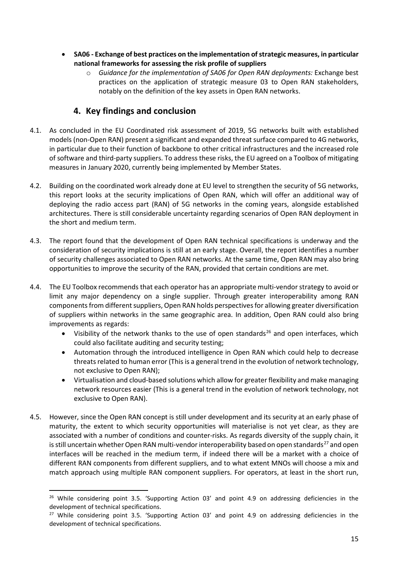- **SA06 - Exchange of best practices on the implementation of strategic measures, in particular national frameworks for assessing the risk profile of suppliers**
	- o *Guidance for the implementation of SA06 for Open RAN deployments:* Exchange best practices on the application of strategic measure 03 to Open RAN stakeholders, notably on the definition of the key assets in Open RAN networks.

## <span id="page-14-0"></span>**4. Key findings and conclusion**

- 4.1. As concluded in the EU Coordinated risk assessment of 2019, 5G networks built with established models (non-Open RAN) present a significant and expanded threat surface compared to 4G networks, in particular due to their function of backbone to other critical infrastructures and the increased role of software and third-party suppliers. To address these risks, the EU agreed on a Toolbox of mitigating measures in January 2020, currently being implemented by Member States.
- 4.2. Building on the coordinated work already done at EU level to strengthen the security of 5G networks, this report looks at the security implications of Open RAN, which will offer an additional way of deploying the radio access part (RAN) of 5G networks in the coming years, alongside established architectures. There is still considerable uncertainty regarding scenarios of Open RAN deployment in the short and medium term.
- 4.3. The report found that the development of Open RAN technical specifications is underway and the consideration of security implications is still at an early stage. Overall, the report identifies a number of security challenges associated to Open RAN networks. At the same time, Open RAN may also bring opportunities to improve the security of the RAN, provided that certain conditions are met.
- 4.4. The EU Toolbox recommends that each operator has an appropriate multi-vendor strategy to avoid or limit any major dependency on a single supplier. Through greater interoperability among RAN components from different suppliers, Open RAN holds perspectives for allowing greater diversification of suppliers within networks in the same geographic area. In addition, Open RAN could also bring improvements as regards:
	- Visibility of the network thanks to the use of open standards<sup>[26](#page-14-1)</sup> and open interfaces, which could also facilitate auditing and security testing;
	- Automation through the introduced intelligence in Open RAN which could help to decrease threats related to human error (This is a general trend in the evolution of network technology, not exclusive to Open RAN);
	- Virtualisation and cloud-based solutions which allow for greater flexibility and make managing network resources easier (This is a general trend in the evolution of network technology, not exclusive to Open RAN).
- 4.5. However, since the Open RAN concept is still under development and its security at an early phase of maturity, the extent to which security opportunities will materialise is not yet clear, as they are associated with a number of conditions and counter-risks. As regards diversity of the supply chain, it is still uncertain whether Open RAN multi-vendor interoperability based on open standards<sup>[27](#page-14-2)</sup> and open interfaces will be reached in the medium term, if indeed there will be a market with a choice of different RAN components from different suppliers, and to what extent MNOs will choose a mix and match approach using multiple RAN component suppliers. For operators, at least in the short run,

<span id="page-14-1"></span><sup>&</sup>lt;sup>26</sup> While considering point 3.5. 'Supporting Action 03' and point 4.9 on addressing deficiencies in the development of technical specifications.

<span id="page-14-2"></span><sup>&</sup>lt;sup>27</sup> While considering point 3.5. 'Supporting Action 03' and point 4.9 on addressing deficiencies in the development of technical specifications.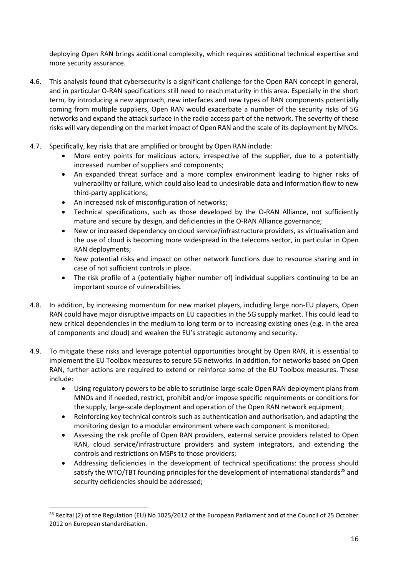deploying Open RAN brings additional complexity, which requires additional technical expertise and more security assurance.

- 4.6. This analysis found that cybersecurity is a significant challenge for the Open RAN concept in general, and in particular O-RAN specifications still need to reach maturity in this area. Especially in the short term, by introducing a new approach, new interfaces and new types of RAN components potentially coming from multiple suppliers, Open RAN would exacerbate a number of the security risks of 5G networks and expand the attack surface in the radio access part of the network. The severity of these risks will vary depending on the market impact of Open RAN and the scale of its deployment by MNOs.
- 4.7. Specifically, key risks that are amplified or brought by Open RAN include:
	- More entry points for malicious actors, irrespective of the supplier, due to a potentially increased number of suppliers and components;
	- An expanded threat surface and a more complex environment leading to higher risks of vulnerability or failure, which could also lead to undesirable data and information flow to new third-party applications;
	- An increased risk of misconfiguration of networks;
	- Technical specifications, such as those developed by the O-RAN Alliance, not sufficiently mature and secure by design, and deficiencies in the O-RAN Alliance governance;
	- New or increased dependency on cloud service/infrastructure providers, as virtualisation and the use of cloud is becoming more widespread in the telecoms sector, in particular in Open RAN deployments;
	- New potential risks and impact on other network functions due to resource sharing and in case of not sufficient controls in place.
	- The risk profile of a (potentially higher number of) individual suppliers continuing to be an important source of vulnerabilities.
- 4.8. In addition, by increasing momentum for new market players, including large non-EU players, Open RAN could have major disruptive impacts on EU capacities in the 5G supply market. This could lead to new critical dependencies in the medium to long term or to increasing existing ones (e.g. in the area of components and cloud) and weaken the EU's strategic autonomy and security.
- 4.9. To mitigate these risks and leverage potential opportunities brought by Open RAN, it is essential to implement the EU Toolbox measures to secure 5G networks. In addition, for networks based on Open RAN, further actions are required to extend or reinforce some of the EU Toolbox measures. These include:
	- Using regulatory powers to be able to scrutinise large-scale Open RAN deployment plans from MNOs and if needed, restrict, prohibit and/or impose specific requirements or conditions for the supply, large-scale deployment and operation of the Open RAN network equipment;
	- Reinforcing key technical controls such as authentication and authorisation, and adapting the monitoring design to a modular environment where each component is monitored;
	- Assessing the risk profile of Open RAN providers, external service providers related to Open RAN, cloud service/infrastructure providers and system integrators, and extending the controls and restrictions on MSPs to those providers;
	- Addressing deficiencies in the development of technical specifications: the process should satisfy the WTO/TBT founding principles for the development of international standards<sup>[28](#page-15-0)</sup> and security deficiencies should be addressed;

<span id="page-15-0"></span><sup>&</sup>lt;sup>28</sup> Recital (2) of the Regulation (EU) No 1025/2012 of the European Parliament and of the Council of 25 October 2012 on European standardisation.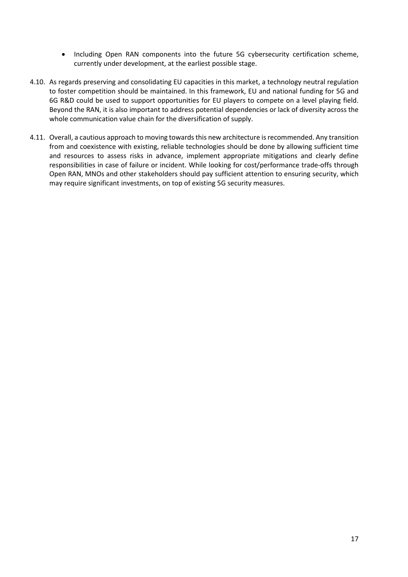- Including Open RAN components into the future 5G cybersecurity certification scheme, currently under development, at the earliest possible stage.
- 4.10. As regards preserving and consolidating EU capacities in this market, a technology neutral regulation to foster competition should be maintained. In this framework, EU and national funding for 5G and 6G R&D could be used to support opportunities for EU players to compete on a level playing field. Beyond the RAN, it is also important to address potential dependencies or lack of diversity across the whole communication value chain for the diversification of supply.
- 4.11. Overall, a cautious approach to moving towards this new architecture is recommended. Any transition from and coexistence with existing, reliable technologies should be done by allowing sufficient time and resources to assess risks in advance, implement appropriate mitigations and clearly define responsibilities in case of failure or incident. While looking for cost/performance trade-offs through Open RAN, MNOs and other stakeholders should pay sufficient attention to ensuring security, which may require significant investments, on top of existing 5G security measures.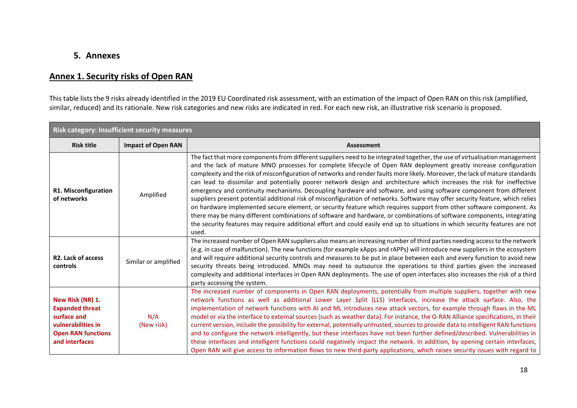## **5. Annexes**

## **Annex 1. Security risks of Open RAN**

This table lists the 9 risks already identified in the 2019 EU Coordinated risk assessment, with an estimation of the impact of Open RAN on this risk (amplified, similar, reduced) and its rationale. New risk categories and new risks are indicated in red. For each new risk, an illustrative risk scenario is proposed.

<span id="page-17-0"></span>

| <b>Risk category: Insufficient security measures</b>                                                                           |                           |                                                                                                                                                                                                                                                                                                                                                                                                                                                                                                                                                                                                                                                                                                                                                                                                                                                                                                                                                                                                                                                                                                                                                                |  |  |  |  |
|--------------------------------------------------------------------------------------------------------------------------------|---------------------------|----------------------------------------------------------------------------------------------------------------------------------------------------------------------------------------------------------------------------------------------------------------------------------------------------------------------------------------------------------------------------------------------------------------------------------------------------------------------------------------------------------------------------------------------------------------------------------------------------------------------------------------------------------------------------------------------------------------------------------------------------------------------------------------------------------------------------------------------------------------------------------------------------------------------------------------------------------------------------------------------------------------------------------------------------------------------------------------------------------------------------------------------------------------|--|--|--|--|
| <b>Risk title</b>                                                                                                              | <b>Impact of Open RAN</b> | <b>Assessment</b>                                                                                                                                                                                                                                                                                                                                                                                                                                                                                                                                                                                                                                                                                                                                                                                                                                                                                                                                                                                                                                                                                                                                              |  |  |  |  |
| R1. Misconfiguration<br>of networks                                                                                            | Amplified                 | The fact that more components from different suppliers need to be integrated together, the use of virtualisation management<br>and the lack of mature MNO processes for complete lifecycle of Open RAN deployment greatly increase configuration<br>complexity and the risk of misconfiguration of networks and render faults more likely. Moreover, the lack of mature standards<br>can lead to dissimilar and potentially poorer network design and architecture which increases the risk for ineffective<br>emergency and continuity mechanisms. Decoupling hardware and software, and using software component from different<br>suppliers present potential additional risk of misconfiguration of networks. Software may offer security feature, which relies<br>on hardware implemented secure element, or security feature which requires support from other software component. As<br>there may be many different combinations of software and hardware, or combinations of software components, integrating<br>the security features may require additional effort and could easily end up to situations in which security features are not<br>used. |  |  |  |  |
| R <sub>2</sub> . Lack of access<br>controls                                                                                    | Similar or amplified      | The increased number of Open RAN suppliers also means an increasing number of third parties needing access to the network<br>(e.g. in case of malfunction). The new functions (for example xApps and rAPPs) will introduce new suppliers in the ecosystem<br>and will require additional security controls and measures to be put in place between each and every function to avoid new<br>security threats being introduced. MNOs may need to outsource the operations to third parties given the increased<br>complexity and additional interfaces in Open RAN deployments. The use of open interfaces also increases the risk of a third<br>party accessing the system.                                                                                                                                                                                                                                                                                                                                                                                                                                                                                     |  |  |  |  |
| New Risk (NR) 1.<br><b>Expanded threat</b><br>surface and<br>vulnerabilities in<br><b>Open RAN functions</b><br>and interfaces | N/A<br>(New risk)         | The increased number of components in Open RAN deployments, potentially from multiple suppliers, together with new<br>network functions as well as additional Lower Layer Split (LLS) interfaces, increase the attack surface. Also, the<br>implementation of network functions with AI and ML introduces new attack vectors, for example through flaws in the ML<br>model or via the interface to external sources (such as weather data). For instance, the O-RAN Alliance specifications, in their<br>current version, include the possibility for external, potentially untrusted, sources to provide data to intelligent RAN functions<br>and to configure the network intelligently, but these interfaces have not been further defined/described. Vulnerabilities in<br>these interfaces and intelligent functions could negatively impact the network. In addition, by opening certain interfaces,<br>Open RAN will give access to information flows to new third-party applications, which raises security issues with regard to                                                                                                                      |  |  |  |  |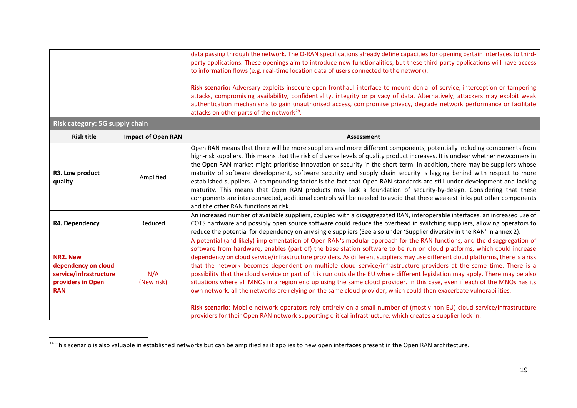<span id="page-18-0"></span>

| to information flows (e.g. real-time location data of users connected to the network).<br>attacks on other parts of the network <sup>29</sup> . |                           | data passing through the network. The O-RAN specifications already define capacities for opening certain interfaces to third-<br>party applications. These openings aim to introduce new functionalities, but these third-party applications will have access<br>Risk scenario: Adversary exploits insecure open fronthaul interface to mount denial of service, interception or tampering<br>attacks, compromising availability, confidentiality, integrity or privacy of data. Alternatively, attackers may exploit weak<br>authentication mechanisms to gain unauthorised access, compromise privacy, degrade network performance or facilitate                                                                                                                                                                                                                                                                                                                                                                                                                                                                                         |
|-------------------------------------------------------------------------------------------------------------------------------------------------|---------------------------|--------------------------------------------------------------------------------------------------------------------------------------------------------------------------------------------------------------------------------------------------------------------------------------------------------------------------------------------------------------------------------------------------------------------------------------------------------------------------------------------------------------------------------------------------------------------------------------------------------------------------------------------------------------------------------------------------------------------------------------------------------------------------------------------------------------------------------------------------------------------------------------------------------------------------------------------------------------------------------------------------------------------------------------------------------------------------------------------------------------------------------------------|
| Risk category: 5G supply chain                                                                                                                  |                           |                                                                                                                                                                                                                                                                                                                                                                                                                                                                                                                                                                                                                                                                                                                                                                                                                                                                                                                                                                                                                                                                                                                                            |
| <b>Risk title</b>                                                                                                                               | <b>Impact of Open RAN</b> | <b>Assessment</b>                                                                                                                                                                                                                                                                                                                                                                                                                                                                                                                                                                                                                                                                                                                                                                                                                                                                                                                                                                                                                                                                                                                          |
| R3. Low product<br>quality                                                                                                                      | Amplified                 | Open RAN means that there will be more suppliers and more different components, potentially including components from<br>high-risk suppliers. This means that the risk of diverse levels of quality product increases. It is unclear whether newcomers in<br>the Open RAN market might prioritise innovation or security in the short-term. In addition, there may be suppliers whose<br>maturity of software development, software security and supply chain security is lagging behind with respect to more<br>established suppliers. A compounding factor is the fact that Open RAN standards are still under development and lacking<br>maturity. This means that Open RAN products may lack a foundation of security-by-design. Considering that these<br>components are interconnected, additional controls will be needed to avoid that these weakest links put other components<br>and the other RAN functions at risk.                                                                                                                                                                                                            |
| R4. Dependency                                                                                                                                  | Reduced                   | An increased number of available suppliers, coupled with a disaggregated RAN, interoperable interfaces, an increased use of<br>COTS hardware and possibly open source software could reduce the overhead in switching suppliers, allowing operators to<br>reduce the potential for dependency on any single suppliers (See also under 'Supplier diversity in the RAN' in annex 2).                                                                                                                                                                                                                                                                                                                                                                                                                                                                                                                                                                                                                                                                                                                                                         |
| NR2. New<br>dependency on cloud<br>service/infrastructure<br>providers in Open<br><b>RAN</b>                                                    | N/A<br>(New risk)         | A potential (and likely) implementation of Open RAN's modular approach for the RAN functions, and the disaggregation of<br>software from hardware, enables (part of) the base station software to be run on cloud platforms, which could increase<br>dependency on cloud service/infrastructure providers. As different suppliers may use different cloud platforms, there is a risk<br>that the network becomes dependent on multiple cloud service/infrastructure providers at the same time. There is a<br>possibility that the cloud service or part of it is run outside the EU where different legislation may apply. There may be also<br>situations where all MNOs in a region end up using the same cloud provider. In this case, even if each of the MNOs has its<br>own network, all the networks are relying on the same cloud provider, which could then exacerbate vulnerabilities.<br>Risk scenario: Mobile network operators rely entirely on a small number of (mostly non-EU) cloud service/infrastructure<br>providers for their Open RAN network supporting critical infrastructure, which creates a supplier lock-in. |

<sup>&</sup>lt;sup>29</sup> This scenario is also valuable in established networks but can be amplified as it applies to new open interfaces present in the Open RAN architecture.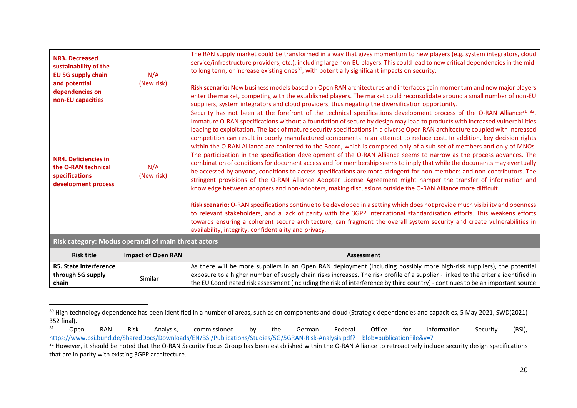<span id="page-19-2"></span><span id="page-19-1"></span><span id="page-19-0"></span>

| <b>NR3. Decreased</b><br>sustainability of the<br><b>EU 5G supply chain</b><br>and potential<br>dependencies on<br>non-EU capacities | N/A<br>(New risk)                                   | The RAN supply market could be transformed in a way that gives momentum to new players (e.g. system integrators, cloud<br>service/infrastructure providers, etc.), including large non-EU players. This could lead to new critical dependencies in the mid-<br>to long term, or increase existing ones <sup>30</sup> , with potentially significant impacts on security.<br>Risk scenario: New business models based on Open RAN architectures and interfaces gain momentum and new major players<br>enter the market, competing with the established players. The market could reconsolidate around a small number of non-EU<br>suppliers, system integrators and cloud providers, thus negating the diversification opportunity.                                                                                                                                                                                                                                                                                                                                                                                                                                                                                                                                                                                                                                                                                                                                                                                                                                                                                                                                                                                                    |
|--------------------------------------------------------------------------------------------------------------------------------------|-----------------------------------------------------|---------------------------------------------------------------------------------------------------------------------------------------------------------------------------------------------------------------------------------------------------------------------------------------------------------------------------------------------------------------------------------------------------------------------------------------------------------------------------------------------------------------------------------------------------------------------------------------------------------------------------------------------------------------------------------------------------------------------------------------------------------------------------------------------------------------------------------------------------------------------------------------------------------------------------------------------------------------------------------------------------------------------------------------------------------------------------------------------------------------------------------------------------------------------------------------------------------------------------------------------------------------------------------------------------------------------------------------------------------------------------------------------------------------------------------------------------------------------------------------------------------------------------------------------------------------------------------------------------------------------------------------------------------------------------------------------------------------------------------------|
| <b>NR4. Deficiencies in</b><br>the O-RAN technical<br>specifications<br>development process                                          | N/A<br>(New risk)                                   | Security has not been at the forefront of the technical specifications development process of the O-RAN Alliance <sup>31</sup> <sup>32</sup> .<br>Immature O-RAN specifications without a foundation of secure by design may lead to products with increased vulnerabilities<br>leading to exploitation. The lack of mature security specifications in a diverse Open RAN architecture coupled with increased<br>competition can result in poorly manufactured components in an attempt to reduce cost. In addition, key decision rights<br>within the O-RAN Alliance are conferred to the Board, which is composed only of a sub-set of members and only of MNOs.<br>The participation in the specification development of the O-RAN Alliance seems to narrow as the process advances. The<br>combination of conditions for document access and for membership seems to imply that while the documents may eventually<br>be accessed by anyone, conditions to access specifications are more stringent for non-members and non-contributors. The<br>stringent provisions of the O-RAN Alliance Adopter License Agreement might hamper the transfer of information and<br>knowledge between adopters and non-adopters, making discussions outside the O-RAN Alliance more difficult.<br>Risk scenario: O-RAN specifications continue to be developed in a setting which does not provide much visibility and openness<br>to relevant stakeholders, and a lack of parity with the 3GPP international standardisation efforts. This weakens efforts<br>towards ensuring a coherent secure architecture, can fragment the overall system security and create vulnerabilities in<br>availability, integrity, confidentiality and privacy. |
|                                                                                                                                      | Risk category: Modus operandi of main threat actors |                                                                                                                                                                                                                                                                                                                                                                                                                                                                                                                                                                                                                                                                                                                                                                                                                                                                                                                                                                                                                                                                                                                                                                                                                                                                                                                                                                                                                                                                                                                                                                                                                                                                                                                                       |
| <b>Risk title</b>                                                                                                                    | <b>Impact of Open RAN</b>                           | <b>Assessment</b>                                                                                                                                                                                                                                                                                                                                                                                                                                                                                                                                                                                                                                                                                                                                                                                                                                                                                                                                                                                                                                                                                                                                                                                                                                                                                                                                                                                                                                                                                                                                                                                                                                                                                                                     |
| <b>R5. State interference</b><br>through 5G supply<br>chain                                                                          | Similar                                             | As there will be more suppliers in an Open RAN deployment (including possibly more high-risk suppliers), the potential<br>exposure to a higher number of supply chain risks increases. The risk profile of a supplier - linked to the criteria identified in<br>the EU Coordinated risk assessment (including the risk of interference by third country) - continues to be an important source                                                                                                                                                                                                                                                                                                                                                                                                                                                                                                                                                                                                                                                                                                                                                                                                                                                                                                                                                                                                                                                                                                                                                                                                                                                                                                                                        |

<sup>&</sup>lt;sup>30</sup> High technology dependence has been identified in a number of areas, such as on components and cloud (Strategic dependencies and capacities, 5 May 2021, SWD(2021) 352 final).<br> $31$  Open

<sup>&</sup>lt;sup>31</sup> Open RAN Risk Analysis, commissioned by the German Federal Office for Information Security (BSI), [https://www.bsi.bund.de/SharedDocs/Downloads/EN/BSI/Publications/Studies/5G/5GRAN-Risk-Analysis.pdf?\\_\\_blob=publicationFile&v=7](https://www.bsi.bund.de/SharedDocs/Downloads/EN/BSI/Publications/Studies/5G/5GRAN-Risk-Analysis.pdf?__blob=publicationFile&v=7)

<sup>&</sup>lt;sup>32</sup> However, it should be noted that the O-RAN Security Focus Group has been established within the O-RAN Alliance to retroactively include security design specifications that are in parity with existing 3GPP architecture.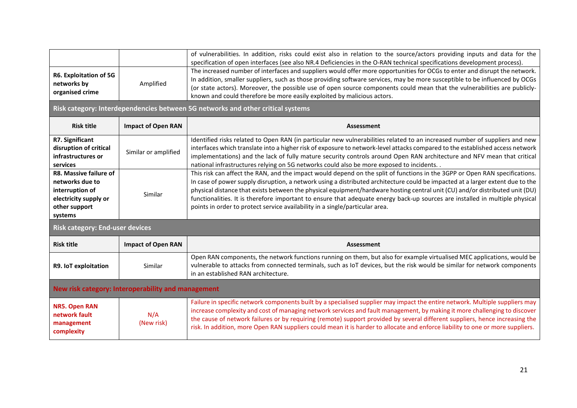| R6. Exploitation of 5G<br>networks by<br>Amplified<br>organised crime                                             |                           | of vulnerabilities. In addition, risks could exist also in relation to the source/actors providing inputs and data for the<br>specification of open interfaces (see also NR.4 Deficiencies in the O-RAN technical specifications development process).<br>The increased number of interfaces and suppliers would offer more opportunities for OCGs to enter and disrupt the network.<br>In addition, smaller suppliers, such as those providing software services, may be more susceptible to be influenced by OCGs<br>(or state actors). Moreover, the possible use of open source components could mean that the vulnerabilities are publicly-<br>known and could therefore be more easily exploited by malicious actors.<br>Risk category: Interdependencies between 5G networks and other critical systems |  |  |
|-------------------------------------------------------------------------------------------------------------------|---------------------------|----------------------------------------------------------------------------------------------------------------------------------------------------------------------------------------------------------------------------------------------------------------------------------------------------------------------------------------------------------------------------------------------------------------------------------------------------------------------------------------------------------------------------------------------------------------------------------------------------------------------------------------------------------------------------------------------------------------------------------------------------------------------------------------------------------------|--|--|
|                                                                                                                   |                           |                                                                                                                                                                                                                                                                                                                                                                                                                                                                                                                                                                                                                                                                                                                                                                                                                |  |  |
| <b>Risk title</b>                                                                                                 | <b>Impact of Open RAN</b> | <b>Assessment</b>                                                                                                                                                                                                                                                                                                                                                                                                                                                                                                                                                                                                                                                                                                                                                                                              |  |  |
| R7. Significant<br>disruption of critical<br>infrastructures or<br>services                                       | Similar or amplified      | Identified risks related to Open RAN (in particular new vulnerabilities related to an increased number of suppliers and new<br>interfaces which translate into a higher risk of exposure to network-level attacks compared to the established access network<br>implementations) and the lack of fully mature security controls around Open RAN architecture and NFV mean that critical<br>national infrastructures relying on 5G networks could also be more exposed to incidents. .                                                                                                                                                                                                                                                                                                                          |  |  |
| R8. Massive failure of<br>networks due to<br>interruption of<br>electricity supply or<br>other support<br>systems | Similar                   | This risk can affect the RAN, and the impact would depend on the split of functions in the 3GPP or Open RAN specifications.<br>In case of power supply disruption, a network using a distributed architecture could be impacted at a larger extent due to the<br>physical distance that exists between the physical equipment/hardware hosting central unit (CU) and/or distributed unit (DU)<br>functionalities. It is therefore important to ensure that adequate energy back-up sources are installed in multiple physical<br>points in order to protect service availability in a single/particular area.                                                                                                                                                                                                  |  |  |
| <b>Risk category: End-user devices</b>                                                                            |                           |                                                                                                                                                                                                                                                                                                                                                                                                                                                                                                                                                                                                                                                                                                                                                                                                                |  |  |
| <b>Risk title</b>                                                                                                 | <b>Impact of Open RAN</b> | Assessment                                                                                                                                                                                                                                                                                                                                                                                                                                                                                                                                                                                                                                                                                                                                                                                                     |  |  |
| R9. IoT exploitation                                                                                              | Similar                   | Open RAN components, the network functions running on them, but also for example virtualised MEC applications, would be<br>vulnerable to attacks from connected terminals, such as IoT devices, but the risk would be similar for network components<br>in an established RAN architecture.                                                                                                                                                                                                                                                                                                                                                                                                                                                                                                                    |  |  |
| New risk category: Interoperability and management                                                                |                           |                                                                                                                                                                                                                                                                                                                                                                                                                                                                                                                                                                                                                                                                                                                                                                                                                |  |  |
| <b>NR5. Open RAN</b><br>N/A<br>network fault<br>(New risk)<br>management<br>complexity                            |                           | Failure in specific network components built by a specialised supplier may impact the entire network. Multiple suppliers may<br>increase complexity and cost of managing network services and fault management, by making it more challenging to discover<br>the cause of network failures or by requiring (remote) support provided by several different suppliers, hence increasing the<br>risk. In addition, more Open RAN suppliers could mean it is harder to allocate and enforce liability to one or more suppliers.                                                                                                                                                                                                                                                                                    |  |  |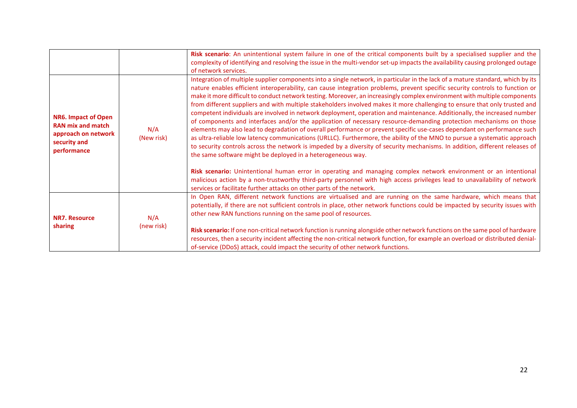|                                                                                                              |                   | Risk scenario: An unintentional system failure in one of the critical components built by a specialised supplier and the<br>complexity of identifying and resolving the issue in the multi-vendor set-up impacts the availability causing prolonged outage<br>of network services.                                                                                                                                                                                                                                                                                                                                                                                                                                                                                                                                                                                                                                                                                                                                                                                                                                                                                                                                                                                                                                                                                                                                                                                                                                                                            |
|--------------------------------------------------------------------------------------------------------------|-------------------|---------------------------------------------------------------------------------------------------------------------------------------------------------------------------------------------------------------------------------------------------------------------------------------------------------------------------------------------------------------------------------------------------------------------------------------------------------------------------------------------------------------------------------------------------------------------------------------------------------------------------------------------------------------------------------------------------------------------------------------------------------------------------------------------------------------------------------------------------------------------------------------------------------------------------------------------------------------------------------------------------------------------------------------------------------------------------------------------------------------------------------------------------------------------------------------------------------------------------------------------------------------------------------------------------------------------------------------------------------------------------------------------------------------------------------------------------------------------------------------------------------------------------------------------------------------|
| <b>NR6. Impact of Open</b><br><b>RAN mix and match</b><br>approach on network<br>security and<br>performance | N/A<br>(New risk) | Integration of multiple supplier components into a single network, in particular in the lack of a mature standard, which by its<br>nature enables efficient interoperability, can cause integration problems, prevent specific security controls to function or<br>make it more difficult to conduct network testing. Moreover, an increasingly complex environment with multiple components<br>from different suppliers and with multiple stakeholders involved makes it more challenging to ensure that only trusted and<br>competent individuals are involved in network deployment, operation and maintenance. Additionally, the increased number<br>of components and interfaces and/or the application of necessary resource-demanding protection mechanisms on those<br>elements may also lead to degradation of overall performance or prevent specific use-cases dependant on performance such<br>as ultra-reliable low latency communications (URLLC). Furthermore, the ability of the MNO to pursue a systematic approach<br>to security controls across the network is impeded by a diversity of security mechanisms. In addition, different releases of<br>the same software might be deployed in a heterogeneous way.<br>Risk scenario: Unintentional human error in operating and managing complex network environment or an intentional<br>malicious action by a non-trustworthy third-party personnel with high access privileges lead to unavailability of network<br>services or facilitate further attacks on other parts of the network. |
| <b>NR7. Resource</b><br>sharing                                                                              | N/A<br>(new risk) | In Open RAN, different network functions are virtualised and are running on the same hardware, which means that<br>potentially, if there are not sufficient controls in place, other network functions could be impacted by security issues with<br>other new RAN functions running on the same pool of resources.<br>Risk scenario: If one non-critical network function is running alongside other network functions on the same pool of hardware<br>resources, then a security incident affecting the non-critical network function, for example an overload or distributed denial-<br>of-service (DDoS) attack, could impact the security of other network functions.                                                                                                                                                                                                                                                                                                                                                                                                                                                                                                                                                                                                                                                                                                                                                                                                                                                                                     |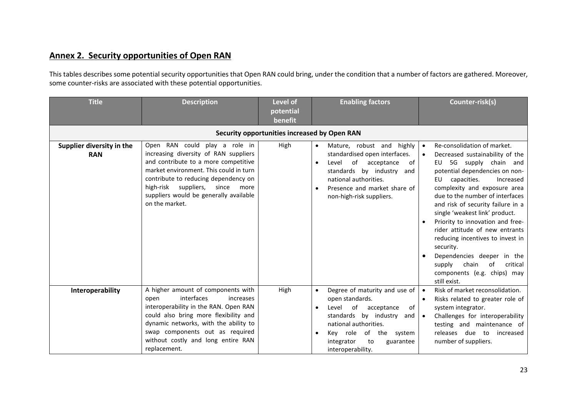## **Annex 2. Security opportunities of Open RAN**

This tables describes some potential security opportunities that Open RAN could bring, under the condition that a number of factors are gathered. Moreover, some counter-risks are associated with these potential opportunities.

| <b>Title</b>                            | <b>Description</b>                                                                                                                                                                                                                                                                                       | <b>Level of</b><br>potential<br>benefit      | <b>Enabling factors</b>                                                                                                                                                                                                                                      | Counter-risk(s)                                                                                                                                                                                                                                                                                                                                                                                                                                                                                                                                              |  |
|-----------------------------------------|----------------------------------------------------------------------------------------------------------------------------------------------------------------------------------------------------------------------------------------------------------------------------------------------------------|----------------------------------------------|--------------------------------------------------------------------------------------------------------------------------------------------------------------------------------------------------------------------------------------------------------------|--------------------------------------------------------------------------------------------------------------------------------------------------------------------------------------------------------------------------------------------------------------------------------------------------------------------------------------------------------------------------------------------------------------------------------------------------------------------------------------------------------------------------------------------------------------|--|
|                                         |                                                                                                                                                                                                                                                                                                          | Security opportunities increased by Open RAN |                                                                                                                                                                                                                                                              |                                                                                                                                                                                                                                                                                                                                                                                                                                                                                                                                                              |  |
| Supplier diversity in the<br><b>RAN</b> | Open RAN could play a role in<br>increasing diversity of RAN suppliers<br>and contribute to a more competitive<br>market environment. This could in turn<br>contribute to reducing dependency on<br>high-risk<br>suppliers,<br>since<br>more<br>suppliers would be generally available<br>on the market. | High                                         | Mature, robust and<br>highly<br>standardised open interfaces.<br>of<br>acceptance<br>of<br>Level<br>standards by industry<br>and<br>national authorities.<br>Presence and market share of<br>non-high-risk suppliers.                                        | Re-consolidation of market.<br>$\bullet$<br>Decreased sustainability of the<br>EU 5G supply chain and<br>potential dependencies on non-<br>capacities.<br>Increased<br>EU<br>complexity and exposure area<br>due to the number of interfaces<br>and risk of security failure in a<br>single 'weakest link' product.<br>Priority to innovation and free-<br>rider attitude of new entrants<br>reducing incentives to invest in<br>security.<br>Dependencies deeper in the<br>supply<br>chain<br>of<br>critical<br>components (e.g. chips) may<br>still exist. |  |
| Interoperability                        | A higher amount of components with<br>interfaces<br>open<br>increases<br>interoperability in the RAN. Open RAN<br>could also bring more flexibility and<br>dynamic networks, with the ability to<br>swap components out as required<br>without costly and long entire RAN<br>replacement.                | High                                         | Degree of maturity and use of $  \bullet$<br>$\bullet$<br>open standards.<br>of<br>Level<br>acceptance<br>of I<br>standards by industry<br>and  <br>national authorities.<br>of the system<br>Key role<br>integrator<br>to<br>guarantee<br>interoperability. | Risk of market reconsolidation.<br>Risks related to greater role of<br>system integrator.<br>Challenges for interoperability<br>testing and maintenance of<br>releases due<br>to<br>increased<br>number of suppliers.                                                                                                                                                                                                                                                                                                                                        |  |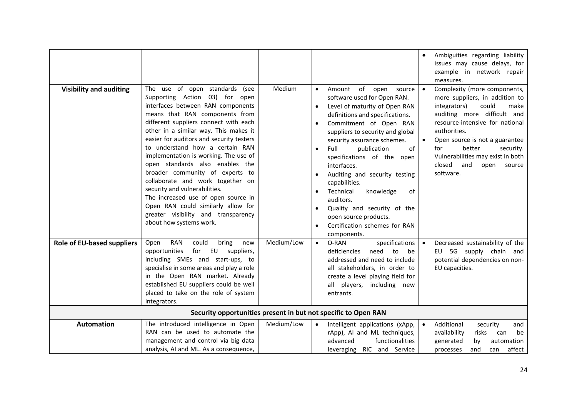|                                |                                                                                                                                                                                                                                                                                                                                                                                                                                                                                                                                                                                                                                             |            | Ambiguities regarding liability<br>$\bullet$<br>issues may cause delays, for<br>example in network repair<br>measures.                                                                                                                                                                                                                                                                                                                                                                                                                                                                                                                                                                                                                                                                                                                                                                                                               |
|--------------------------------|---------------------------------------------------------------------------------------------------------------------------------------------------------------------------------------------------------------------------------------------------------------------------------------------------------------------------------------------------------------------------------------------------------------------------------------------------------------------------------------------------------------------------------------------------------------------------------------------------------------------------------------------|------------|--------------------------------------------------------------------------------------------------------------------------------------------------------------------------------------------------------------------------------------------------------------------------------------------------------------------------------------------------------------------------------------------------------------------------------------------------------------------------------------------------------------------------------------------------------------------------------------------------------------------------------------------------------------------------------------------------------------------------------------------------------------------------------------------------------------------------------------------------------------------------------------------------------------------------------------|
| <b>Visibility and auditing</b> | The use of open standards (see<br>Supporting Action 03) for open<br>interfaces between RAN components<br>means that RAN components from<br>different suppliers connect with each<br>other in a similar way. This makes it<br>easier for auditors and security testers<br>to understand how a certain RAN<br>implementation is working. The use of<br>open standards also enables the<br>broader community of experts to<br>collaborate and work together on<br>security and vulnerabilities.<br>The increased use of open source in<br>Open RAN could similarly allow for<br>greater visibility and transparency<br>about how systems work. | Medium     | of open<br>Complexity (more components,<br>Amount<br>source<br>software used for Open RAN.<br>more suppliers, in addition to<br>Level of maturity of Open RAN<br>integrators)<br>could<br>make<br>$\bullet$<br>auditing more difficult and<br>definitions and specifications.<br>resource-intensive for national<br>Commitment of Open RAN<br>$\bullet$<br>authorities.<br>suppliers to security and global<br>security assurance schemes.<br>Open source is not a guarantee<br>$\bullet$<br>better<br>for<br>Full<br>publication<br>of<br>security.<br>$\bullet$<br>Vulnerabilities may exist in both<br>specifications of the open<br>closed<br>and<br>interfaces.<br>open<br>source<br>software.<br>Auditing and security testing<br>capabilities.<br>Technical<br>of<br>knowledge<br>auditors.<br>Quality and security of the<br>$\bullet$<br>open source products.<br>Certification schemes for RAN<br>$\bullet$<br>components. |
| Role of EU-based suppliers     | <b>RAN</b><br>could<br>Open<br>bring<br>new<br>EU<br>opportunities<br>for<br>suppliers,<br>including SMEs and start-ups, to<br>specialise in some areas and play a role<br>in the Open RAN market. Already<br>established EU suppliers could be well<br>placed to take on the role of system<br>integrators.                                                                                                                                                                                                                                                                                                                                | Medium/Low | Decreased sustainability of the<br>$\bullet$<br>O-RAN<br>specifications<br>EU 5G supply chain and<br>deficiencies<br>need<br>to<br>be<br>addressed and need to include<br>potential dependencies on non-<br>all stakeholders, in order to<br>EU capacities.<br>create a level playing field for<br>all players, including new<br>entrants.                                                                                                                                                                                                                                                                                                                                                                                                                                                                                                                                                                                           |
|                                |                                                                                                                                                                                                                                                                                                                                                                                                                                                                                                                                                                                                                                             |            | Security opportunities present in but not specific to Open RAN                                                                                                                                                                                                                                                                                                                                                                                                                                                                                                                                                                                                                                                                                                                                                                                                                                                                       |
| <b>Automation</b>              | The introduced intelligence in Open<br>RAN can be used to automate the<br>management and control via big data<br>analysis, AI and ML. As a consequence,                                                                                                                                                                                                                                                                                                                                                                                                                                                                                     | Medium/Low | Additional<br>Intelligent applications (xApp,<br>security<br>and<br>$\bullet$<br>rApp), AI and ML techniques,<br>availability<br>risks<br>be<br>can<br>advanced<br>functionalities<br>generated<br>automation<br>by<br>affect<br>leveraging RIC and Service<br>and<br>processes<br>can                                                                                                                                                                                                                                                                                                                                                                                                                                                                                                                                                                                                                                               |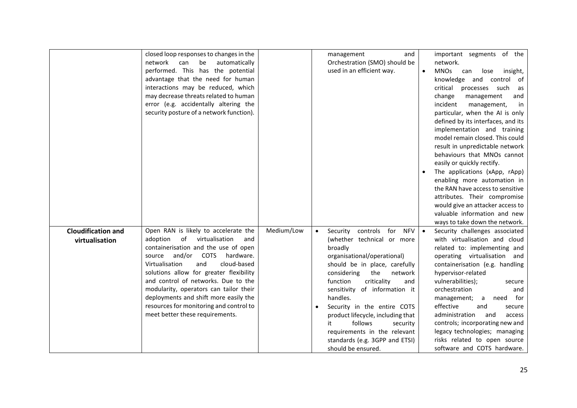|                                             | closed loop responses to changes in the<br>network can<br>be<br>automatically<br>performed. This has the potential<br>advantage that the need for human<br>interactions may be reduced, which<br>may decrease threats related to human<br>error (e.g. accidentally altering the<br>security posture of a network function).                                                                                                                           |            | management<br>and<br>Orchestration (SMO) should be<br>used in an efficient way.                                                                                                                                                                                                                                                                                                                                                                   | important segments of the<br>network.<br><b>MNOs</b><br>lose<br>can<br>insight,<br>$\bullet$<br>knowledge and control<br>of<br>critical<br>processes such<br>as<br>and<br>change<br>management<br>incident<br>management,<br>in<br>particular, when the AI is only<br>defined by its interfaces, and its<br>implementation and training<br>model remain closed. This could<br>result in unpredictable network<br>behaviours that MNOs cannot<br>easily or quickly rectify.<br>The applications (xApp, rApp)<br>enabling more automation in<br>the RAN have access to sensitive<br>attributes. Their compromise<br>would give an attacker access to<br>valuable information and new<br>ways to take down the network. |
|---------------------------------------------|-------------------------------------------------------------------------------------------------------------------------------------------------------------------------------------------------------------------------------------------------------------------------------------------------------------------------------------------------------------------------------------------------------------------------------------------------------|------------|---------------------------------------------------------------------------------------------------------------------------------------------------------------------------------------------------------------------------------------------------------------------------------------------------------------------------------------------------------------------------------------------------------------------------------------------------|----------------------------------------------------------------------------------------------------------------------------------------------------------------------------------------------------------------------------------------------------------------------------------------------------------------------------------------------------------------------------------------------------------------------------------------------------------------------------------------------------------------------------------------------------------------------------------------------------------------------------------------------------------------------------------------------------------------------|
| <b>Cloudification and</b><br>virtualisation | Open RAN is likely to accelerate the<br>of virtualisation<br>adoption<br>and<br>containerisation and the use of open<br>and/or COTS<br>hardware.<br>source<br>and<br>cloud-based<br>Virtualisation<br>solutions allow for greater flexibility<br>and control of networks. Due to the<br>modularity, operators can tailor their<br>deployments and shift more easily the<br>resources for monitoring and control to<br>meet better these requirements. | Medium/Low | controls for<br>Security<br>NFV<br>(whether technical or more<br>broadly<br>organisational/operational)<br>should be in place, carefully<br>considering<br>the<br>network<br>function<br>criticality<br>and<br>sensitivity of information it<br>handles.<br>Security in the entire COTS<br>product lifecycle, including that<br>follows<br>it<br>security<br>requirements in the relevant<br>standards (e.g. 3GPP and ETSI)<br>should be ensured. | Security challenges associated<br>$\bullet$<br>with virtualisation and cloud<br>related to: implementing and<br>operating virtualisation and<br>containerisation (e.g. handling<br>hypervisor-related<br>vulnerabilities);<br>secure<br>orchestration<br>and<br>for<br>management;<br>need<br>a<br>effective<br>and<br>secure<br>administration<br>and<br>access<br>controls; incorporating new and<br>legacy technologies; managing<br>risks related to open source<br>software and COTS hardware.                                                                                                                                                                                                                  |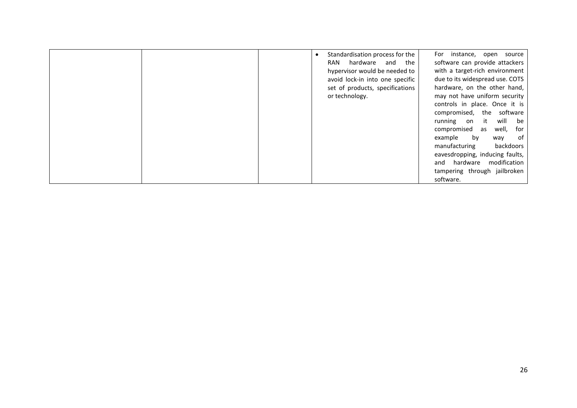|  | Standardisation process for the | For instance, open source       |
|--|---------------------------------|---------------------------------|
|  | hardware and the<br>RAN         | software can provide attackers  |
|  | hypervisor would be needed to   | with a target-rich environment  |
|  | avoid lock-in into one specific | due to its widespread use. COTS |
|  | set of products, specifications | hardware, on the other hand,    |
|  | or technology.                  | may not have uniform security   |
|  |                                 | controls in place. Once it is   |
|  |                                 | compromised, the software       |
|  |                                 | will<br>running on it<br>be     |
|  |                                 | compromised as well,<br>for     |
|  |                                 | of<br>by<br>example<br>way      |
|  |                                 | backdoors<br>manufacturing      |
|  |                                 | eavesdropping, inducing faults, |
|  |                                 | and hardware modification       |
|  |                                 | tampering through jailbroken    |
|  |                                 | software.                       |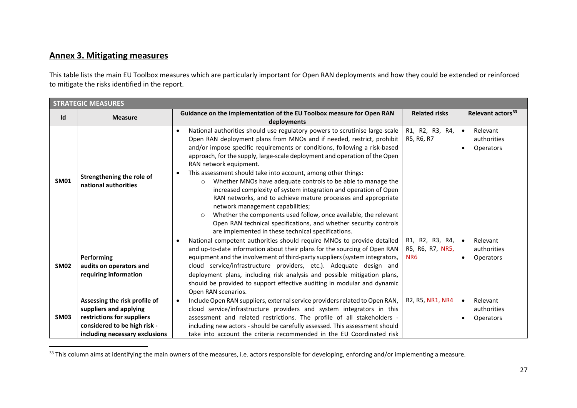## <span id="page-26-0"></span>**Annex 3. Mitigating measures**

This table lists the main EU Toolbox measures which are particularly important for Open RAN deployments and how they could be extended or reinforced to mitigate the risks identified in the report.

|                  | <b>STRATEGIC MEASURES</b>                                                                                                                               |                                                                                                                                                                                                                                                                                                                                                                                                                                                                                                                                                                                                                                                                                                                                                                                                                                                                         |                                                        |                                                   |  |  |  |
|------------------|---------------------------------------------------------------------------------------------------------------------------------------------------------|-------------------------------------------------------------------------------------------------------------------------------------------------------------------------------------------------------------------------------------------------------------------------------------------------------------------------------------------------------------------------------------------------------------------------------------------------------------------------------------------------------------------------------------------------------------------------------------------------------------------------------------------------------------------------------------------------------------------------------------------------------------------------------------------------------------------------------------------------------------------------|--------------------------------------------------------|---------------------------------------------------|--|--|--|
| Id               | Guidance on the implementation of the EU Toolbox measure for Open RAN<br><b>Measure</b><br>deployments                                                  |                                                                                                                                                                                                                                                                                                                                                                                                                                                                                                                                                                                                                                                                                                                                                                                                                                                                         |                                                        | Relevant actors <sup>33</sup>                     |  |  |  |
| <b>SM01</b>      | Strengthening the role of<br>national authorities                                                                                                       | National authorities should use regulatory powers to scrutinise large-scale<br>Open RAN deployment plans from MNOs and if needed, restrict, prohibit<br>and/or impose specific requirements or conditions, following a risk-based<br>approach, for the supply, large-scale deployment and operation of the Open<br>RAN network equipment.<br>This assessment should take into account, among other things:<br>Whether MNOs have adequate controls to be able to manage the<br>$\circ$<br>increased complexity of system integration and operation of Open<br>RAN networks, and to achieve mature processes and appropriate<br>network management capabilities;<br>Whether the components used follow, once available, the relevant<br>$\circ$<br>Open RAN technical specifications, and whether security controls<br>are implemented in these technical specifications. | R1, R2, R3, R4,<br>R5, R6, R7                          | Relevant<br>authorities<br>Operators              |  |  |  |
| <b>SM02</b>      | Performing<br>audits on operators and<br>requiring information                                                                                          | National competent authorities should require MNOs to provide detailed<br>and up-to-date information about their plans for the sourcing of Open RAN<br>equipment and the involvement of third-party suppliers (system integrators,<br>cloud service/infrastructure providers, etc.). Adequate design and<br>deployment plans, including risk analysis and possible mitigation plans,<br>should be provided to support effective auditing in modular and dynamic<br>Open RAN scenarios.                                                                                                                                                                                                                                                                                                                                                                                  | R1, R2, R3, R4,<br>R5, R6, R7, NR5,<br>N <sub>R6</sub> | Relevant<br>authorities<br>Operators<br>$\bullet$ |  |  |  |
| SM <sub>03</sub> | Assessing the risk profile of<br>suppliers and applying<br>restrictions for suppliers<br>considered to be high risk -<br>including necessary exclusions | Include Open RAN suppliers, external service providers related to Open RAN,<br>$\bullet$<br>cloud service/infrastructure providers and system integrators in this<br>assessment and related restrictions. The profile of all stakeholders -<br>including new actors - should be carefully assessed. This assessment should<br>take into account the criteria recommended in the EU Coordinated risk                                                                                                                                                                                                                                                                                                                                                                                                                                                                     | R2, R5, NR1, NR4                                       | Relevant<br>authorities<br><b>Operators</b>       |  |  |  |

<sup>&</sup>lt;sup>33</sup> This column aims at identifying the main owners of the measures, i.e. actors responsible for developing, enforcing and/or implementing a measure.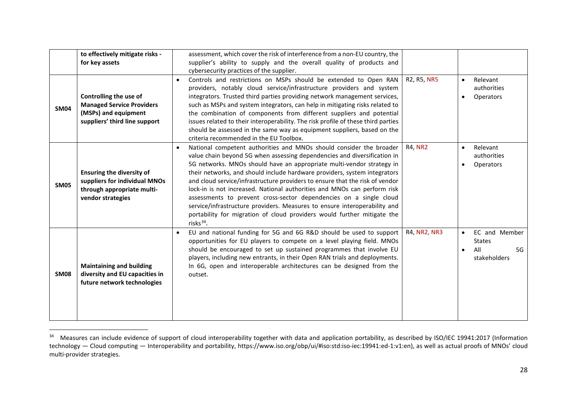<span id="page-27-0"></span>

|             | to effectively mitigate risks -<br>for key assets                                                                    | assessment, which cover the risk of interference from a non-EU country, the<br>supplier's ability to supply and the overall quality of products and<br>cybersecurity practices of the supplier.                                                                                                                                                                                                                                                                                                                                                                                                                                                                                                                 |                |                                                                                       |
|-------------|----------------------------------------------------------------------------------------------------------------------|-----------------------------------------------------------------------------------------------------------------------------------------------------------------------------------------------------------------------------------------------------------------------------------------------------------------------------------------------------------------------------------------------------------------------------------------------------------------------------------------------------------------------------------------------------------------------------------------------------------------------------------------------------------------------------------------------------------------|----------------|---------------------------------------------------------------------------------------|
| <b>SM04</b> | Controlling the use of<br><b>Managed Service Providers</b><br>(MSPs) and equipment<br>suppliers' third line support  | Controls and restrictions on MSPs should be extended to Open RAN<br>$\bullet$<br>providers, notably cloud service/infrastructure providers and system<br>integrators. Trusted third parties providing network management services,<br>such as MSPs and system integrators, can help in mitigating risks related to<br>the combination of components from different suppliers and potential<br>issues related to their interoperability. The risk profile of these third parties<br>should be assessed in the same way as equipment suppliers, based on the<br>criteria recommended in the EU Toolbox.                                                                                                           | R2, R5, NR5    | Relevant<br>$\bullet$<br>authorities<br>Operators<br>$\bullet$                        |
| <b>SM05</b> | <b>Ensuring the diversity of</b><br>suppliers for individual MNOs<br>through appropriate multi-<br>vendor strategies | National competent authorities and MNOs should consider the broader<br>value chain beyond 5G when assessing dependencies and diversification in<br>5G networks. MNOs should have an appropriate multi-vendor strategy in<br>their networks, and should include hardware providers, system integrators<br>and cloud service/infrastructure providers to ensure that the risk of vendor<br>lock-in is not increased. National authorities and MNOs can perform risk<br>assessments to prevent cross-sector dependencies on a single cloud<br>service/infrastructure providers. Measures to ensure interoperability and<br>portability for migration of cloud providers would further mitigate the<br>risks $34$ . | <b>R4, NR2</b> | Relevant<br>$\bullet$<br>authorities<br>Operators<br>$\bullet$                        |
| <b>SM08</b> | <b>Maintaining and building</b><br>diversity and EU capacities in<br>future network technologies                     | EU and national funding for 5G and 6G R&D should be used to support<br>opportunities for EU players to compete on a level playing field. MNOs<br>should be encouraged to set up sustained programmes that involve EU<br>players, including new entrants, in their Open RAN trials and deployments.<br>In 6G, open and interoperable architectures can be designed from the<br>outset.                                                                                                                                                                                                                                                                                                                           | R4, NR2, NR3   | EC and Member<br>$\bullet$<br><b>States</b><br>All<br>5G<br>$\bullet$<br>stakeholders |

<sup>&</sup>lt;sup>34</sup> Measures can include evidence of support of cloud interoperability together with data and application portability, as described by ISO/IEC 19941:2017 (Information technology — Cloud computing — Interoperability and portability, https://www.iso.org/obp/ui/#iso:std:iso-iec:19941:ed-1:v1:en), as well as actual proofs of MNOs' cloud multi-provider strategies.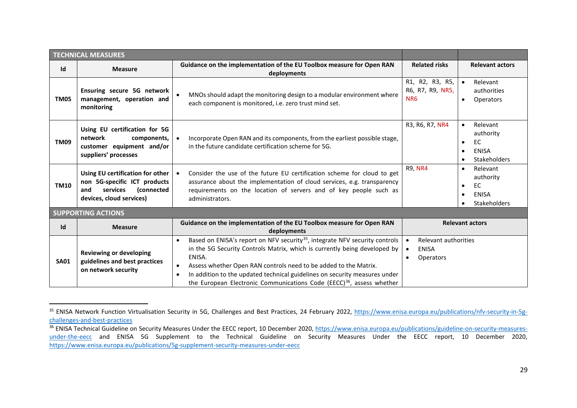<span id="page-28-1"></span><span id="page-28-0"></span>

|                           | <b>TECHNICAL MEASURES</b>                                                                                                     |                                                                                                                                                                                                                                                                                                                                                                                                                                                     |                                                                                    |                                                                                                                        |  |  |
|---------------------------|-------------------------------------------------------------------------------------------------------------------------------|-----------------------------------------------------------------------------------------------------------------------------------------------------------------------------------------------------------------------------------------------------------------------------------------------------------------------------------------------------------------------------------------------------------------------------------------------------|------------------------------------------------------------------------------------|------------------------------------------------------------------------------------------------------------------------|--|--|
| Id                        | <b>Measure</b>                                                                                                                | Guidance on the implementation of the EU Toolbox measure for Open RAN<br>deployments                                                                                                                                                                                                                                                                                                                                                                | <b>Related risks</b>                                                               | <b>Relevant actors</b>                                                                                                 |  |  |
| <b>TM05</b>               | Ensuring secure 5G network<br>management, operation and<br>monitoring                                                         | $\bullet$<br>MNOs should adapt the monitoring design to a modular environment where<br>each component is monitored, i.e. zero trust mind set.                                                                                                                                                                                                                                                                                                       | R1, R2, R3, R5,<br>R6, R7, R9, NR5,<br>NR <sub>6</sub>                             | Relevant<br>$\bullet$<br>authorities<br>Operators<br>$\bullet$                                                         |  |  |
| <b>TM09</b>               | Using EU certification for 5G<br>network<br>components,<br>customer equipment and/or<br>suppliers' processes                  | Incorporate Open RAN and its components, from the earliest possible stage,<br>in the future candidate certification scheme for 5G.                                                                                                                                                                                                                                                                                                                  | R3, R6, R7, NR4                                                                    | Relevant<br>$\bullet$<br>authority<br><b>EC</b><br>$\bullet$<br><b>ENISA</b><br>$\bullet$<br>Stakeholders<br>$\bullet$ |  |  |
| <b>TM10</b>               | Using EU certification for other<br>non 5G-specific ICT products<br>(connected<br>services<br>and<br>devices, cloud services) | Consider the use of the future EU certification scheme for cloud to get<br>$\bullet$<br>assurance about the implementation of cloud services, e.g. transparency<br>requirements on the location of servers and of key people such as<br>administrators.                                                                                                                                                                                             | <b>R9, NR4</b>                                                                     | Relevant<br>$\bullet$<br>authority<br><b>EC</b><br>$\bullet$<br><b>ENISA</b><br>$\bullet$<br>Stakeholders<br>$\bullet$ |  |  |
| <b>SUPPORTING ACTIONS</b> |                                                                                                                               |                                                                                                                                                                                                                                                                                                                                                                                                                                                     |                                                                                    |                                                                                                                        |  |  |
| Id                        | <b>Measure</b>                                                                                                                | Guidance on the implementation of the EU Toolbox measure for Open RAN<br>deployments                                                                                                                                                                                                                                                                                                                                                                |                                                                                    | <b>Relevant actors</b>                                                                                                 |  |  |
| <b>SA01</b>               | <b>Reviewing or developing</b><br>guidelines and best practices<br>on network security                                        | Based on ENISA's report on NFV security <sup>35</sup> , integrate NFV security controls<br>$\bullet$<br>in the 5G Security Controls Matrix, which is currently being developed by<br>ENISA.<br>Assess whether Open RAN controls need to be added to the Matrix.<br>$\bullet$<br>In addition to the updated technical guidelines on security measures under<br>$\bullet$<br>the European Electronic Communications Code (EECC) $36$ , assess whether | Relevant authorities<br>$\bullet$<br><b>ENISA</b><br>$\bullet$<br><b>Operators</b> |                                                                                                                        |  |  |

<sup>&</sup>lt;sup>35</sup> ENISA Network Function Virtualisation Security in 5G, Challenges and Best Practices, 24 February 2022, [https://www.enisa.europa.eu/publications/nfv-security-in-5g](https://www.enisa.europa.eu/publications/nfv-security-in-5g-challenges-and-best-practices)[challenges-and-best-practices](https://www.enisa.europa.eu/publications/nfv-security-in-5g-challenges-and-best-practices)

<sup>&</sup>lt;sup>36</sup> ENISA Technical Guideline on Security Measures Under the EECC report, 10 December 2020, [https://www.enisa.europa.eu/publications/guideline-on-security-measures](https://www.enisa.europa.eu/publications/guideline-on-security-measures-under-the-eecc)[under-the-eecc](https://www.enisa.europa.eu/publications/guideline-on-security-measures-under-the-eecc) and ENISA 5G Supplement to the Technical Guideline on Security Measures Under the EECC report, 10 December 2020, <https://www.enisa.europa.eu/publications/5g-supplement-security-measures-under-eecc>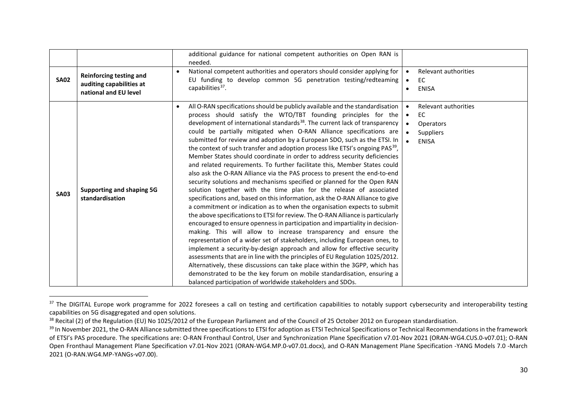<span id="page-29-2"></span><span id="page-29-1"></span><span id="page-29-0"></span>

|             |                                                                                     | additional guidance for national competent authorities on Open RAN is<br>needed.                                                                                                                                                                                                                                                                                                                                                                                                                                                                                                                                                                                                                                                                                                                                                                                                                                                                                                                                                                                                                                                                                                                                                                                                                                                                                                                                                                                                                                                                                                                                                                                                                                                                       |                                                                                                                    |
|-------------|-------------------------------------------------------------------------------------|--------------------------------------------------------------------------------------------------------------------------------------------------------------------------------------------------------------------------------------------------------------------------------------------------------------------------------------------------------------------------------------------------------------------------------------------------------------------------------------------------------------------------------------------------------------------------------------------------------------------------------------------------------------------------------------------------------------------------------------------------------------------------------------------------------------------------------------------------------------------------------------------------------------------------------------------------------------------------------------------------------------------------------------------------------------------------------------------------------------------------------------------------------------------------------------------------------------------------------------------------------------------------------------------------------------------------------------------------------------------------------------------------------------------------------------------------------------------------------------------------------------------------------------------------------------------------------------------------------------------------------------------------------------------------------------------------------------------------------------------------------|--------------------------------------------------------------------------------------------------------------------|
| <b>SA02</b> | <b>Reinforcing testing and</b><br>auditing capabilities at<br>national and EU level | National competent authorities and operators should consider applying for<br>EU funding to develop common 5G penetration testing/redteaming<br>capabilities <sup>37</sup> .                                                                                                                                                                                                                                                                                                                                                                                                                                                                                                                                                                                                                                                                                                                                                                                                                                                                                                                                                                                                                                                                                                                                                                                                                                                                                                                                                                                                                                                                                                                                                                            | Relevant authorities<br>EC<br>$\bullet$<br><b>ENISA</b><br>$\bullet$                                               |
| <b>SA03</b> | Supporting and shaping 5G<br>standardisation                                        | All O-RAN specifications should be publicly available and the standardisation<br>process should satisfy the WTO/TBT founding principles for the<br>development of international standards <sup>38</sup> . The current lack of transparency<br>could be partially mitigated when O-RAN Alliance specifications are<br>submitted for review and adoption by a European SDO, such as the ETSI. In<br>the context of such transfer and adoption process like ETSI's ongoing PAS <sup>39</sup> ,<br>Member States should coordinate in order to address security deficiencies<br>and related requirements. To further facilitate this, Member States could<br>also ask the O-RAN Alliance via the PAS process to present the end-to-end<br>security solutions and mechanisms specified or planned for the Open RAN<br>solution together with the time plan for the release of associated<br>specifications and, based on this information, ask the O-RAN Alliance to give<br>a commitment or indication as to when the organisation expects to submit<br>the above specifications to ETSI for review. The O-RAN Alliance is particularly<br>encouraged to ensure openness in participation and impartiality in decision-<br>making. This will allow to increase transparency and ensure the<br>representation of a wider set of stakeholders, including European ones, to<br>implement a security-by-design approach and allow for effective security<br>assessments that are in line with the principles of EU Regulation 1025/2012.<br>Alternatively, these discussions can take place within the 3GPP, which has<br>demonstrated to be the key forum on mobile standardisation, ensuring a<br>balanced participation of worldwide stakeholders and SDOs. | Relevant authorities<br><b>EC</b><br>$\bullet$<br>Operators<br>$\bullet$<br>Suppliers<br>$\bullet$<br><b>ENISA</b> |

<sup>&</sup>lt;sup>37</sup> The DIGITAL Europe work programme for 2022 foresees a call on testing and certification capabilities to notably support cybersecurity and interoperability testing capabilities on 5G disaggregated and open solutions.

<sup>&</sup>lt;sup>38</sup> Recital (2) of the Regulation (EU) No 1025/2012 of the European Parliament and of the Council of 25 October 2012 on European standardisation.

<sup>&</sup>lt;sup>39</sup> In November 2021, the O-RAN Alliance submitted three specifications to ETSI for adoption as ETSI Technical Specifications or Technical Recommendations in the framework of ETSI's PAS procedure. The specifications are: O-RAN Fronthaul Control, User and Synchronization Plane Specification v7.01-Nov 2021 (ORAN-WG4.CUS.0-v07.01); O-RAN Open Fronthaul Management Plane Specification v7.01-Nov 2021 (ORAN-WG4.MP.0-v07.01.docx), and O-RAN Management Plane Specification -YANG Models 7.0 -March 2021 (O-RAN.WG4.MP-YANGs-v07.00).